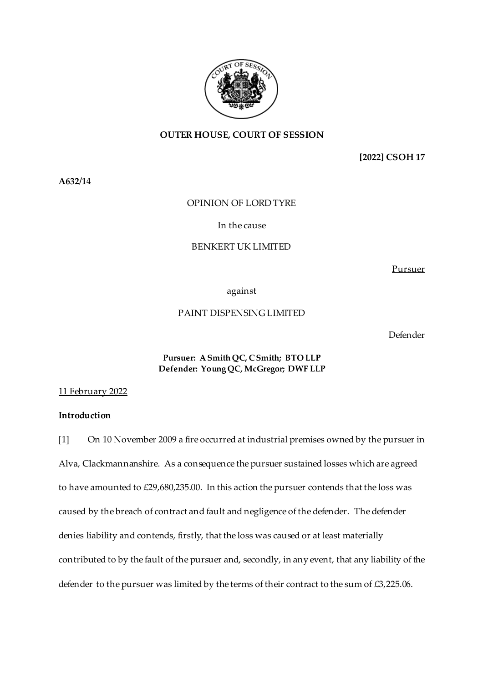

# **OUTER HOUSE, COURT OF SESSION**

**[2022] CSOH 17**

**A632/14**

# OPINION OF LORD TYRE

# In the cause

# BENKERT UK LIMITED

Pursuer

against

# PAINT DISPENSING LIMITED

Defender

# **Pursuer: A Smith QC, C Smith; BTO LLP Defender: Young QC, McGregor; DWF LLP**

## 11 February 2022

# **Introduction**

[1] On 10 November 2009 a fire occurred at industrial premises owned by the pursuer in Alva, Clackmannanshire. As a consequence the pursuer sustained losses which are agreed to have amounted to £29,680,235.00. In this action the pursuer contends that the loss was caused by the breach of contract and fault and negligence of the defender. The defender denies liability and contends, firstly, that the loss was caused or at least materially contributed to by the fault of the pursuer and, secondly, in any event, that any liability of the defender to the pursuer was limited by the terms of their contract to the sum of £3,225.06.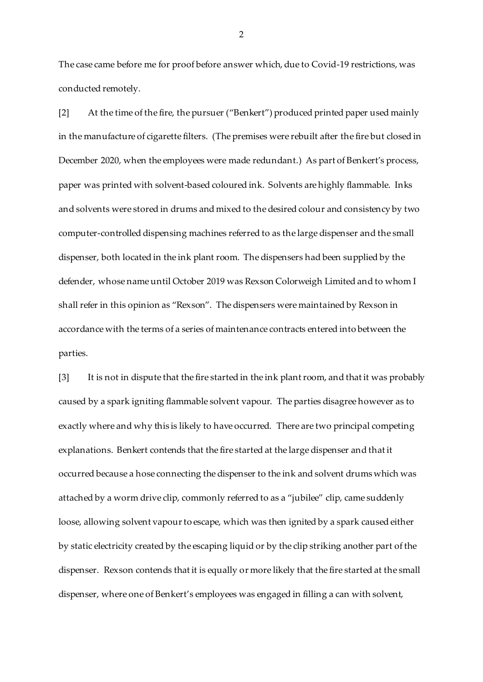The case came before me for proof before answer which, due to Covid-19 restrictions, was conducted remotely.

[2] At the time of the fire, the pursuer ("Benkert") produced printed paper used mainly in the manufacture of cigarette filters. (The premises were rebuilt after the fire but closed in December 2020, when the employees were made redundant.) As part of Benkert's process, paper was printed with solvent-based coloured ink. Solvents are highly flammable. Inks and solvents were stored in drums and mixed to the desired colour and consistency by two computer-controlled dispensing machines referred to as the large dispenser and the small dispenser, both located in the ink plant room. The dispensers had been supplied by the defender, whose name until October 2019 was Rexson Colorweigh Limited and to whom I shall refer in this opinion as "Rexson". The dispensers were maintained by Rexson in accordance with the terms of a series of maintenance contracts entered into between the parties.

[3] It is not in dispute that the fire started in the ink plant room, and that it was probably caused by a spark igniting flammable solvent vapour. The parties disagree however as to exactly where and why this is likely to have occurred. There are two principal competing explanations. Benkert contends that the fire started at the large dispenser and that it occurred because a hose connecting the dispenser to the ink and solvent drums which was attached by a worm drive clip, commonly referred to as a "jubilee" clip, came suddenly loose, allowing solvent vapour to escape, which was then ignited by a spark caused either by static electricity created by the escaping liquid or by the clip striking another part of the dispenser. Rexson contends that it is equally or more likely that the fire started at the small dispenser, where one of Benkert's employees was engaged in filling a can with solvent,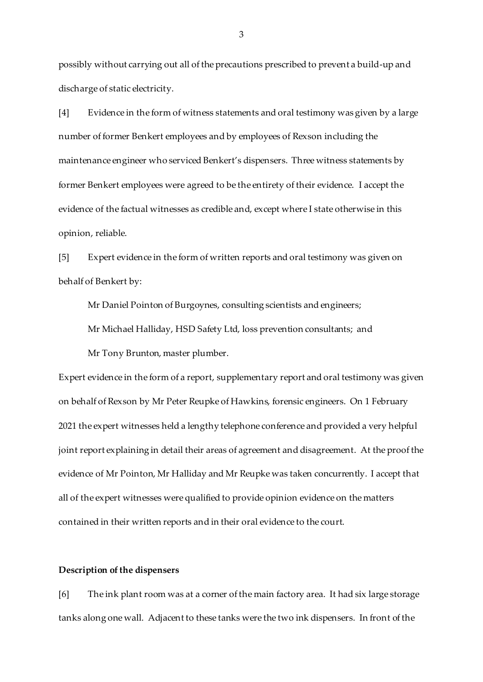possibly without carrying out all of the precautions prescribed to prevent a build-up and discharge of static electricity.

[4] Evidence in the form of witness statements and oral testimony was given by a large number of former Benkert employees and by employees of Rexson including the maintenance engineer who serviced Benkert's dispensers. Three witness statements by former Benkert employees were agreed to be the entirety of their evidence. I accept the evidence of the factual witnesses as credible and, except where I state otherwise in this opinion, reliable.

[5] Expert evidence in the form of written reports and oral testimony was given on behalf of Benkert by:

Mr Daniel Pointon of Burgoynes, consulting scientists and engineers;

Mr Michael Halliday, HSD Safety Ltd, loss prevention consultants; and

Mr Tony Brunton, master plumber.

Expert evidence in the form of a report, supplementary report and oral testimony was given on behalf of Rexson by Mr Peter Reupke of Hawkins, forensic engineers. On 1 February 2021 the expert witnesses held a lengthy telephone conference and provided a very helpful joint report explaining in detail their areas of agreement and disagreement. At the proof the evidence of Mr Pointon, Mr Halliday and Mr Reupke was taken concurrently. I accept that all of the expert witnesses were qualified to provide opinion evidence on the matters contained in their written reports and in their oral evidence to the court.

# **Description of the dispensers**

[6] The ink plant room was at a corner of the main factory area. It had six large storage tanks along one wall. Adjacent to these tanks were the two ink dispensers. In front of the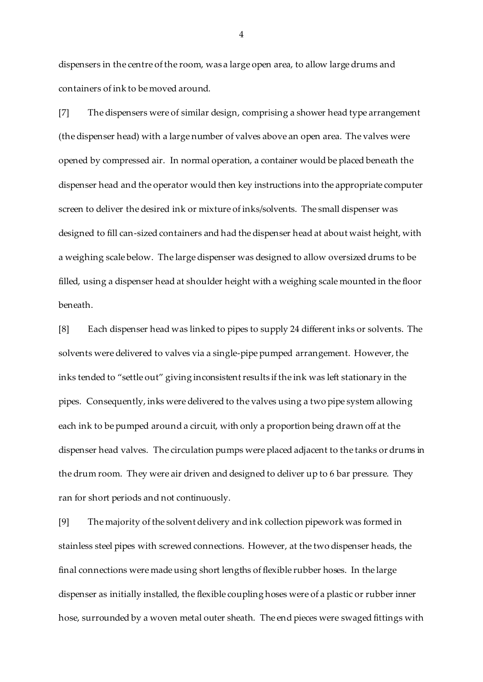dispensers in the centre of the room, was a large open area, to allow large drums and containers of ink to be moved around.

[7] The dispensers were of similar design, comprising a shower head type arrangement (the dispenser head) with a large number of valves above an open area. The valves were opened by compressed air. In normal operation, a container would be placed beneath the dispenser head and the operator would then key instructions into the appropriate computer screen to deliver the desired ink or mixture of inks/solvents. The small dispenser was designed to fill can-sized containers and had the dispenser head at about waist height, with a weighing scale below. The large dispenser was designed to allow oversized drums to be filled, using a dispenser head at shoulder height with a weighing scale mounted in the floor beneath.

[8] Each dispenser head was linked to pipes to supply 24 different inks or solvents. The solvents were delivered to valves via a single-pipe pumped arrangement. However, the inks tended to "settle out" giving inconsistent results if the ink was left stationary in the pipes. Consequently, inks were delivered to the valves using a two pipe system allowing each ink to be pumped around a circuit, with only a proportion being drawn off at the dispenser head valves. The circulation pumps were placed adjacent to the tanks or drums in the drum room. They were air driven and designed to deliver up to 6 bar pressure. They ran for short periods and not continuously.

[9] The majority of the solvent delivery and ink collection pipework was formed in stainless steel pipes with screwed connections. However, at the two dispenser heads, the final connections were made using short lengths of flexible rubber hoses. In the large dispenser as initially installed, the flexible coupling hoses were of a plastic or rubber inner hose, surrounded by a woven metal outer sheath. The end pieces were swaged fittings with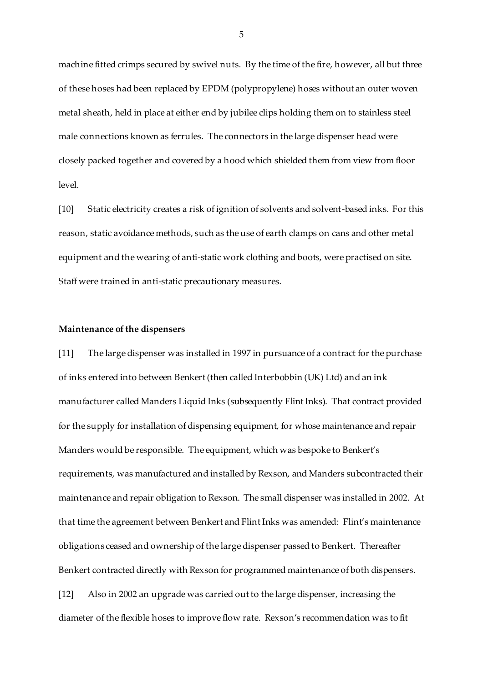machine fitted crimps secured by swivel nuts. By the time of the fire, however, all but three of these hoses had been replaced by EPDM (polypropylene) hoses without an outer woven metal sheath, held in place at either end by jubilee clips holding them on to stainless steel male connections known as ferrules. The connectors in the large dispenser head were closely packed together and covered by a hood which shielded them from view from floor level.

[10] Static electricity creates a risk of ignition of solvents and solvent-based inks. For this reason, static avoidance methods, such as the use of earth clamps on cans and other metal equipment and the wearing of anti-static work clothing and boots, were practised on site. Staff were trained in anti-static precautionary measures.

## **Maintenance of the dispensers**

[11] The large dispenser was installed in 1997 in pursuance of a contract for the purchase of inks entered into between Benkert (then called Interbobbin (UK) Ltd) and an ink manufacturer called Manders Liquid Inks (subsequently Flint Inks). That contract provided for the supply for installation of dispensing equipment, for whose maintenance and repair Manders would be responsible. The equipment, which was bespoke to Benkert's requirements, was manufactured and installed by Rexson, and Manders subcontracted their maintenance and repair obligation to Rexson. The small dispenser was installed in 2002. At that time the agreement between Benkert and Flint Inks was amended: Flint's maintenance obligations ceased and ownership of the large dispenser passed to Benkert. Thereafter Benkert contracted directly with Rexson for programmed maintenance of both dispensers. [12] Also in 2002 an upgrade was carried out to the large dispenser, increasing the diameter of the flexible hoses to improve flow rate. Rexson's recommendation was to fit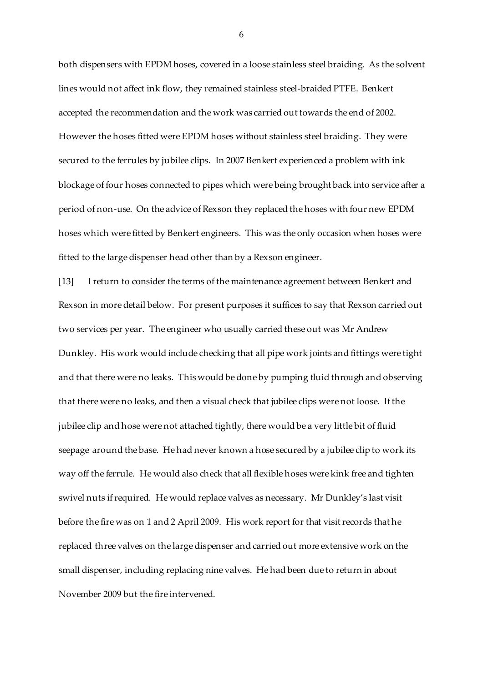both dispensers with EPDM hoses, covered in a loose stainless steel braiding. As the solvent lines would not affect ink flow, they remained stainless steel-braided PTFE. Benkert accepted the recommendation and the work was carried out towards the end of 2002. However the hoses fitted were EPDM hoses without stainless steel braiding. They were secured to the ferrules by jubilee clips. In 2007 Benkert experienced a problem with ink blockage of four hoses connected to pipes which were being brought back into service after a period of non-use. On the advice of Rexson they replaced the hoses with four new EPDM hoses which were fitted by Benkert engineers. This was the only occasion when hoses were fitted to the large dispenser head other than by a Rexson engineer.

[13] I return to consider the terms of the maintenance agreement between Benkert and Rexson in more detail below. For present purposes it suffices to say that Rexson carried out two services per year. The engineer who usually carried these out was Mr Andrew Dunkley. His work would include checking that all pipe work joints and fittings were tight and that there were no leaks. This would be done by pumping fluid through and observing that there were no leaks, and then a visual check that jubilee clips were not loose. If the jubilee clip and hose were not attached tightly, there would be a very little bit of fluid seepage around the base. He had never known a hose secured by a jubilee clip to work its way off the ferrule. He would also check that all flexible hoses were kink free and tighten swivel nuts if required. He would replace valves as necessary. Mr Dunkley's last visit before the fire was on 1 and 2 April 2009. His work report for that visit records that he replaced three valves on the large dispenser and carried out more extensive work on the small dispenser, including replacing nine valves. He had been due to return in about November 2009 but the fire intervened.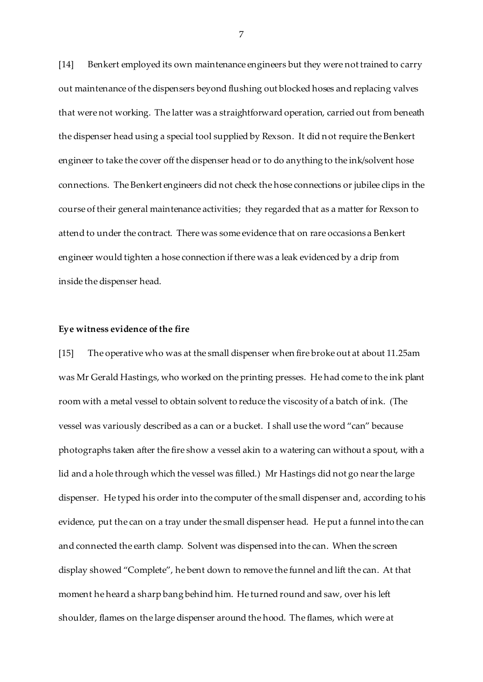[14] Benkert employed its own maintenance engineers but they were not trained to carry out maintenance of the dispensers beyond flushing out blocked hoses and replacing valves that were not working. The latter was a straightforward operation, carried out from beneath the dispenser head using a special tool supplied by Rexson. It did not require the Benkert engineer to take the cover off the dispenser head or to do anything to the ink/solvent hose connections. The Benkert engineers did not check the hose connections or jubilee clips in the course of their general maintenance activities; they regarded that as a matter for Rexson to attend to under the contract. There was some evidence that on rare occasions a Benkert engineer would tighten a hose connection if there was a leak evidenced by a drip from inside the dispenser head.

### **Eye witness evidence of the fire**

[15] The operative who was at the small dispenser when fire broke out at about 11.25am was Mr Gerald Hastings, who worked on the printing presses. He had come to the ink plant room with a metal vessel to obtain solvent to reduce the viscosity of a batch of ink. (The vessel was variously described as a can or a bucket. I shall use the word "can" because photographs taken after the fire show a vessel akin to a watering can without a spout, with a lid and a hole through which the vessel was filled.) Mr Hastings did not go near the large dispenser. He typed his order into the computer of the small dispenser and, according to his evidence, put the can on a tray under the small dispenser head. He put a funnel into the can and connected the earth clamp. Solvent was dispensed into the can. When the screen display showed "Complete", he bent down to remove the funnel and lift the can. At that moment he heard a sharp bang behind him. He turned round and saw, over his left shoulder, flames on the large dispenser around the hood. The flames, which were at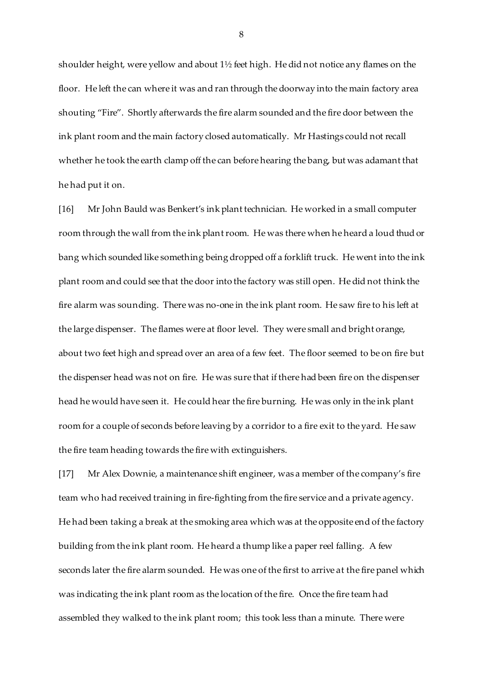shoulder height, were yellow and about 1½ feet high. He did not notice any flames on the floor. He left the can where it was and ran through the doorway into the main factory area shouting "Fire". Shortly afterwards the fire alarm sounded and the fire door between the ink plant room and the main factory closed automatically. Mr Hastings could not recall whether he took the earth clamp off the can before hearing the bang, but was adamant that he had put it on.

[16] Mr John Bauld was Benkert's ink plant technician. He worked in a small computer room through the wall from the ink plant room. He was there when he heard a loud thud or bang which sounded like something being dropped off a forklift truck. He went into the ink plant room and could see that the door into the factory was still open. He did not think the fire alarm was sounding. There was no-one in the ink plant room. He saw fire to his left at the large dispenser. The flames were at floor level. They were small and bright orange, about two feet high and spread over an area of a few feet. The floor seemed to be on fire but the dispenser head was not on fire. He was sure that if there had been fire on the dispenser head he would have seen it. He could hear the fire burning. He was only in the ink plant room for a couple of seconds before leaving by a corridor to a fire exit to the yard. He saw the fire team heading towards the fire with extinguishers.

[17] Mr Alex Downie, a maintenance shift engineer, was a member of the company's fire team who had received training in fire-fighting from the fire service and a private agency. He had been taking a break at the smoking area which was at the opposite end of the factory building from the ink plant room. He heard a thump like a paper reel falling. A few seconds later the fire alarm sounded. He was one of the first to arrive at the fire panel which was indicating the ink plant room as the location of the fire. Once the fire team had assembled they walked to the ink plant room; this took less than a minute. There were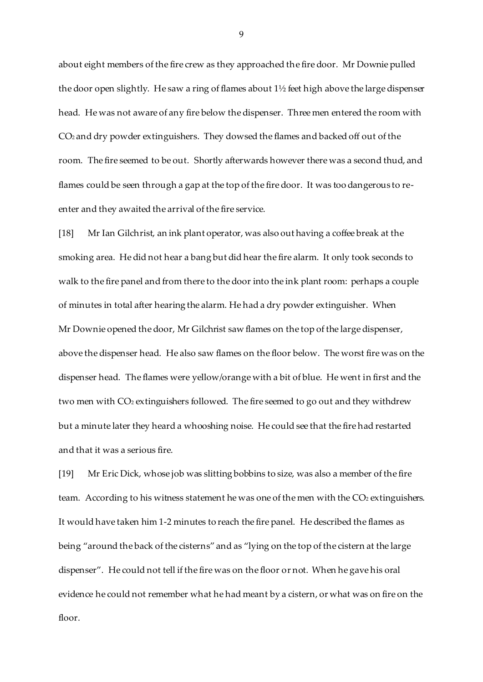about eight members of the fire crew as they approached the fire door. Mr Downie pulled the door open slightly. He saw a ring of flames about 1½ feet high above the large dispenser head. He was not aware of any fire below the dispenser. Three men entered the room with CO2 and dry powder extinguishers. They dowsed the flames and backed off out of the room. The fire seemed to be out. Shortly afterwards however there was a second thud, and flames could be seen through a gap at the top of the fire door. It was too dangerous to reenter and they awaited the arrival of the fire service.

[18] Mr Ian Gilchrist, an ink plant operator, was also out having a coffee break at the smoking area. He did not hear a bang but did hear the fire alarm. It only took seconds to walk to the fire panel and from there to the door into the ink plant room: perhaps a couple of minutes in total after hearing the alarm. He had a dry powder extinguisher. When Mr Downie opened the door, Mr Gilchrist saw flames on the top of the large dispenser, above the dispenser head. He also saw flames on the floor below. The worst fire was on the dispenser head. The flames were yellow/orange with a bit of blue. He went in first and the two men with CO<sub>2</sub> extinguishers followed. The fire seemed to go out and they withdrew but a minute later they heard a whooshing noise. He could see that the fire had restarted and that it was a serious fire.

[19] Mr Eric Dick, whose job was slitting bobbins to size, was also a member of the fire team. According to his witness statement he was one of the men with the CO<sub>2</sub> extinguishers. It would have taken him 1-2 minutes to reach the fire panel. He described the flames as being "around the back of the cisterns" and as "lying on the top of the cistern at the large dispenser". He could not tell if the fire was on the floor or not. When he gave his oral evidence he could not remember what he had meant by a cistern, or what was on fire on the floor.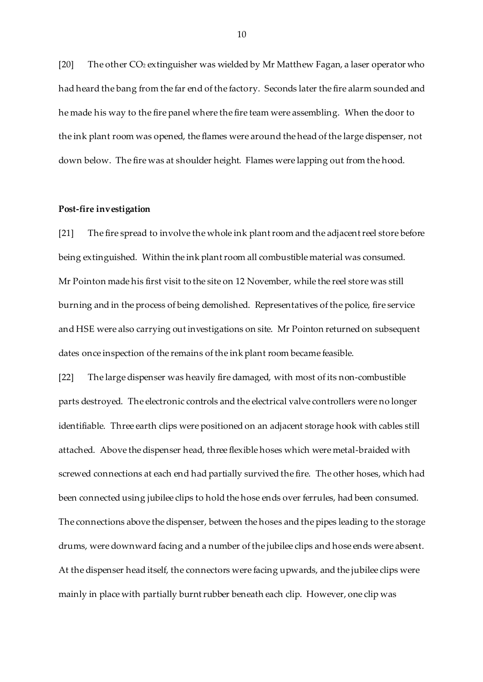[20] The other CO<sub>2</sub> extinguisher was wielded by Mr Matthew Fagan, a laser operator who had heard the bang from the far end of the factory. Seconds later the fire alarm sounded and he made his way to the fire panel where the fire team were assembling. When the door to the ink plant room was opened, the flames were around the head of the large dispenser, not down below. The fire was at shoulder height. Flames were lapping out from the hood.

### **Post-fire investigation**

[21] The fire spread to involve the whole ink plant room and the adjacent reel store before being extinguished. Within the ink plant room all combustible material was consumed. Mr Pointon made his first visit to the site on 12 November, while the reel store was still burning and in the process of being demolished. Representatives of the police, fire service and HSE were also carrying out investigations on site. Mr Pointon returned on subsequent dates once inspection of the remains of the ink plant room became feasible.

[22] The large dispenser was heavily fire damaged, with most of its non-combustible parts destroyed. The electronic controls and the electrical valve controllers were no longer identifiable. Three earth clips were positioned on an adjacent storage hook with cables still attached. Above the dispenser head, three flexible hoses which were metal-braided with screwed connections at each end had partially survived the fire. The other hoses, which had been connected using jubilee clips to hold the hose ends over ferrules, had been consumed. The connections above the dispenser, between the hoses and the pipes leading to the storage drums, were downward facing and a number of the jubilee clips and hose ends were absent. At the dispenser head itself, the connectors were facing upwards, and the jubilee clips were mainly in place with partially burnt rubber beneath each clip. However, one clip was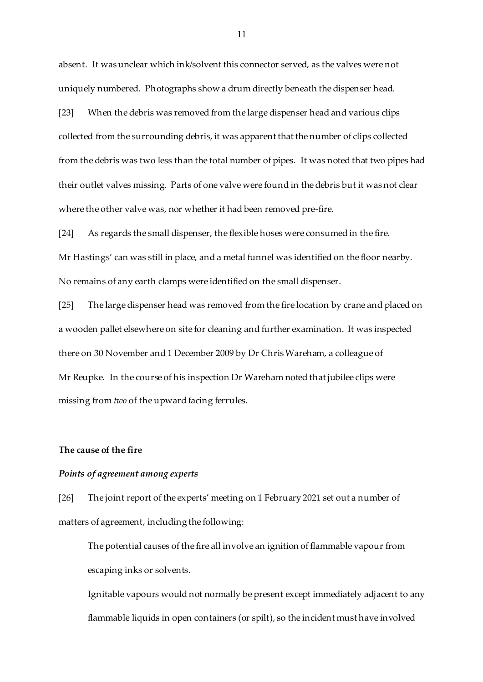absent. It was unclear which ink/solvent this connector served, as the valves were not uniquely numbered. Photographs show a drum directly beneath the dispenser head.

[23] When the debris was removed from the large dispenser head and various clips collected from the surrounding debris, it was apparent that the number of clips collected from the debris was two less than the total number of pipes. It was noted that two pipes had their outlet valves missing. Parts of one valve were found in the debris but it was not clear where the other valve was, nor whether it had been removed pre-fire.

[24] As regards the small dispenser, the flexible hoses were consumed in the fire. Mr Hastings' can was still in place, and a metal funnel was identified on the floor nearby. No remains of any earth clamps were identified on the small dispenser.

[25] The large dispenser head was removed from the fire location by crane and placed on a wooden pallet elsewhere on site for cleaning and further examination. It was inspected there on 30 November and 1 December 2009 by Dr Chris Wareham, a colleague of Mr Reupke. In the course of his inspection Dr Wareham noted that jubilee clips were missing from *two* of the upward facing ferrules.

## **The cause of the fire**

# *Points of agreement among experts*

[26] The joint report of the experts' meeting on 1 February 2021 set out a number of matters of agreement, including the following:

The potential causes of the fire all involve an ignition of flammable vapour from escaping inks or solvents.

Ignitable vapours would not normally be present except immediately adjacent to any flammable liquids in open containers (or spilt), so the incident must have involved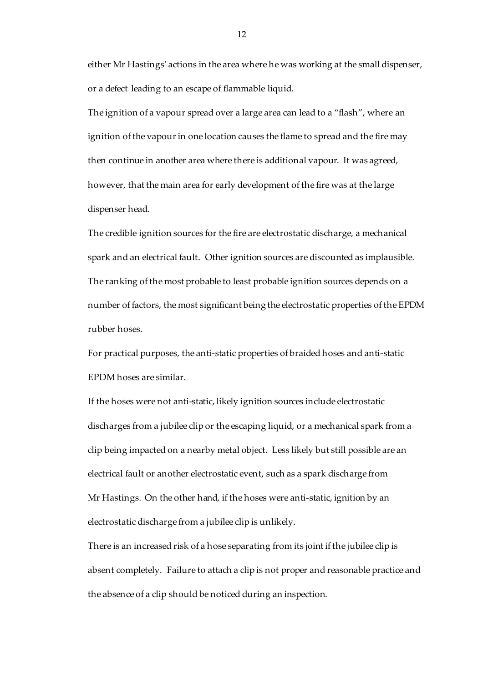either Mr Hastings' actions in the area where he was working at the small dispenser, or a defect leading to an escape of flammable liquid.

The ignition of a vapour spread over a large area can lead to a "flash", where an ignition of the vapour in one location causes the flame to spread and the fire may then continue in another area where there is additional vapour. It was agreed, however, that the main area for early development of the fire was at the large dispenser head.

The credible ignition sources for the fire are electrostatic discharge, a mechanical spark and an electrical fault. Other ignition sources are discounted as implausible. The ranking of the most probable to least probable ignition sources depends on a number of factors, the most significant being the electrostatic properties of the EPDM rubber hoses.

For practical purposes, the anti-static properties of braided hoses and anti-static EPDM hoses are similar.

If the hoses were not anti-static, likely ignition sources include electrostatic discharges from a jubilee clip or the escaping liquid, or a mechanical spark from a clip being impacted on a nearby metal object. Less likely but still possible are an electrical fault or another electrostatic event, such as a spark discharge from Mr Hastings. On the other hand, if the hoses were anti-static, ignition by an electrostatic discharge from a jubilee clip is unlikely.

There is an increased risk of a hose separating from its joint if the jubilee clip is absent completely. Failure to attach a clip is not proper and reasonable practice and the absence of a clip should be noticed during an inspection.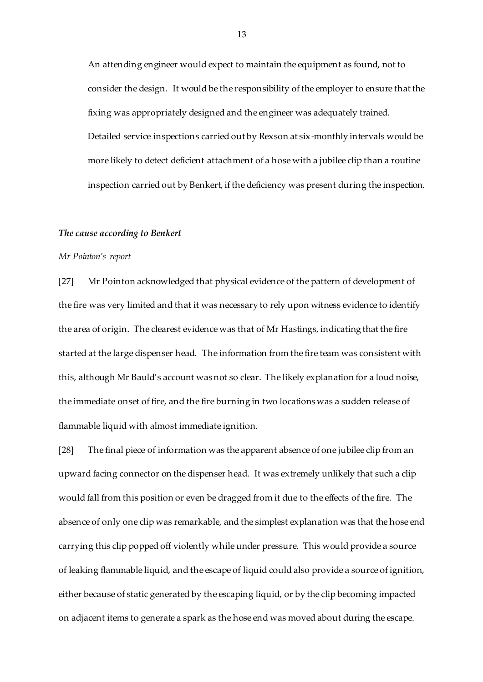An attending engineer would expect to maintain the equipment as found, not to consider the design. It would be the responsibility of the employer to ensure that the fixing was appropriately designed and the engineer was adequately trained. Detailed service inspections carried out by Rexson at six-monthly intervals would be more likely to detect deficient attachment of a hose with a jubilee clip than a routine inspection carried out by Benkert, if the deficiency was present during the inspection.

### *The cause according to Benkert*

### *Mr Pointon's report*

[27] Mr Pointon acknowledged that physical evidence of the pattern of development of the fire was very limited and that it was necessary to rely upon witness evidence to identify the area of origin. The clearest evidence was that of Mr Hastings, indicating that the fire started at the large dispenser head. The information from the fire team was consistent with this, although Mr Bauld's account was not so clear. The likely explanation for a loud noise, the immediate onset of fire, and the fire burning in two locations was a sudden release of flammable liquid with almost immediate ignition.

[28] The final piece of information was the apparent absence of one jubilee clip from an upward facing connector on the dispenser head. It was extremely unlikely that such a clip would fall from this position or even be dragged from it due to the effects of the fire. The absence of only one clip was remarkable, and the simplest explanation was that the hose end carrying this clip popped off violently while under pressure. This would provide a source of leaking flammable liquid, and the escape of liquid could also provide a source of ignition, either because of static generated by the escaping liquid, or by the clip becoming impacted on adjacent items to generate a spark as the hose end was moved about during the escape.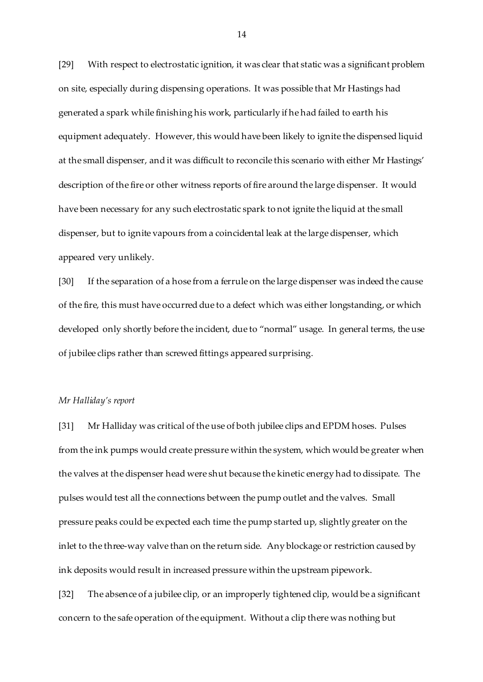[29] With respect to electrostatic ignition, it was clear that static was a significant problem on site, especially during dispensing operations. It was possible that Mr Hastings had generated a spark while finishing his work, particularly if he had failed to earth his equipment adequately. However, this would have been likely to ignite the dispensed liquid at the small dispenser, and it was difficult to reconcile this scenario with either Mr Hastings' description of the fire or other witness reports of fire around the large dispenser. It would have been necessary for any such electrostatic spark to not ignite the liquid at the small dispenser, but to ignite vapours from a coincidental leak at the large dispenser, which appeared very unlikely.

[30] If the separation of a hose from a ferrule on the large dispenser was indeed the cause of the fire, this must have occurred due to a defect which was either longstanding, or which developed only shortly before the incident, due to "normal" usage. In general terms, the use of jubilee clips rather than screwed fittings appeared surprising.

## *Mr Halliday's report*

[31] Mr Halliday was critical of the use of both jubilee clips and EPDM hoses. Pulses from the ink pumps would create pressure within the system, which would be greater when the valves at the dispenser head were shut because the kinetic energy had to dissipate. The pulses would test all the connections between the pump outlet and the valves. Small pressure peaks could be expected each time the pump started up, slightly greater on the inlet to the three-way valve than on the return side. Any blockage or restriction caused by ink deposits would result in increased pressure within the upstream pipework.

[32] The absence of a jubilee clip, or an improperly tightened clip, would be a significant concern to the safe operation of the equipment. Without a clip there was nothing but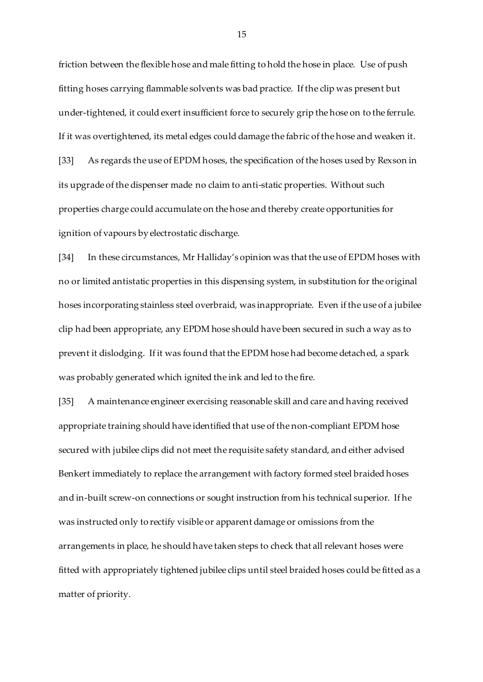friction between the flexible hose and male fitting to hold the hose in place. Use of push fitting hoses carrying flammable solvents was bad practice. If the clip was present but under-tightened, it could exert insufficient force to securely grip the hose on to the ferrule. If it was overtightened, its metal edges could damage the fabric of the hose and weaken it. [33] As regards the use of EPDM hoses, the specification of the hoses used by Rexson in its upgrade of the dispenser made no claim to anti-static properties. Without such properties charge could accumulate on the hose and thereby create opportunities for ignition of vapours by electrostatic discharge.

[34] In these circumstances, Mr Halliday's opinion was that the use of EPDM hoses with no or limited antistatic properties in this dispensing system, in substitution for the original hoses incorporating stainless steel overbraid, was inappropriate. Even if the use of a jubilee clip had been appropriate, any EPDM hose should have been secured in such a way as to prevent it dislodging. If it was found that the EPDM hose had become detached, a spark was probably generated which ignited the ink and led to the fire.

[35] A maintenance engineer exercising reasonable skill and care and having received appropriate training should have identified that use of the non-compliant EPDM hose secured with jubilee clips did not meet the requisite safety standard, and either advised Benkert immediately to replace the arrangement with factory formed steel braided hoses and in-built screw-on connections or sought instruction from his technical superior. If he was instructed only to rectify visible or apparent damage or omissions from the arrangements in place, he should have taken steps to check that all relevant hoses were fitted with appropriately tightened jubilee clips until steel braided hoses could be fitted as a matter of priority.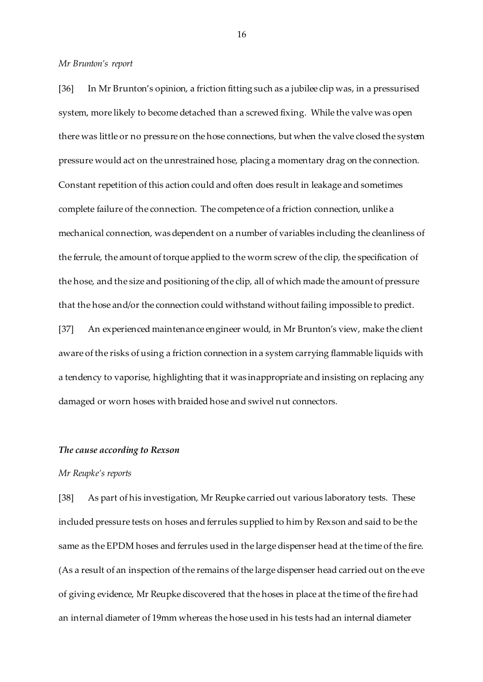*Mr Brunton's report*

[36] In Mr Brunton's opinion, a friction fitting such as a jubilee clip was, in a pressurised system, more likely to become detached than a screwed fixing. While the valve was open there was little or no pressure on the hose connections, but when the valve closed the system pressure would act on the unrestrained hose, placing a momentary drag on the connection. Constant repetition of this action could and often does result in leakage and sometimes complete failure of the connection. The competence of a friction connection, unlike a mechanical connection, was dependent on a number of variables including the cleanliness of the ferrule, the amount of torque applied to the worm screw of the clip, the specification of the hose, and the size and positioning of the clip, all of which made the amount of pressure that the hose and/or the connection could withstand without failing impossible to predict.

[37] An experienced maintenance engineer would, in Mr Brunton's view, make the client aware of the risks of using a friction connection in a system carrying flammable liquids with a tendency to vaporise, highlighting that it was inappropriate and insisting on replacing any damaged or worn hoses with braided hose and swivel nut connectors.

# *The cause according to Rexson*

## *Mr Reupke's reports*

[38] As part of his investigation, Mr Reupke carried out various laboratory tests. These included pressure tests on hoses and ferrules supplied to him by Rexson and said to be the same as the EPDM hoses and ferrules used in the large dispenser head at the time of the fire. (As a result of an inspection of the remains of the large dispenser head carried out on the eve of giving evidence, Mr Reupke discovered that the hoses in place at the time of the fire had an internal diameter of 19mm whereas the hose used in his tests had an internal diameter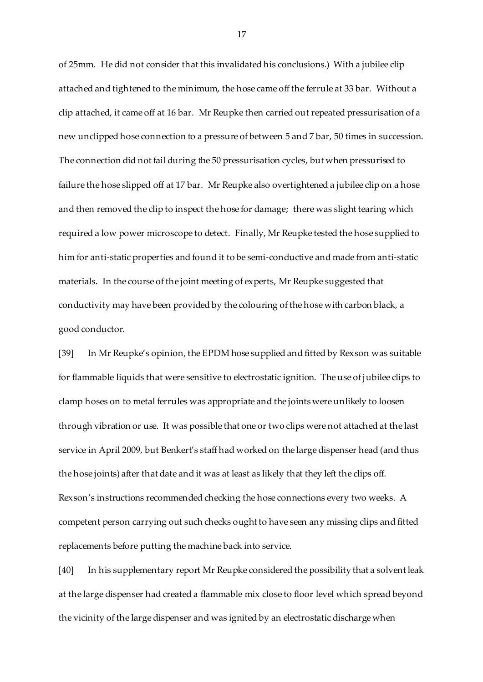of 25mm. He did not consider that this invalidated his conclusions.) With a jubilee clip attached and tightened to the minimum, the hose came off the ferrule at 33 bar. Without a clip attached, it came off at 16 bar. Mr Reupke then carried out repeated pressurisation of a new unclipped hose connection to a pressure of between 5 and 7 bar, 50 times in succession. The connection did not fail during the 50 pressurisation cycles, but when pressurised to failure the hose slipped off at 17 bar. Mr Reupke also overtightened a jubilee clip on a hose and then removed the clip to inspect the hose for damage; there was slight tearing which required a low power microscope to detect. Finally, Mr Reupke tested the hose supplied to him for anti-static properties and found it to be semi-conductive and made from anti-static materials. In the course of the joint meeting of experts, Mr Reupke suggested that conductivity may have been provided by the colouring of the hose with carbon black, a good conductor.

[39] In Mr Reupke's opinion, the EPDM hose supplied and fitted by Rexson was suitable for flammable liquids that were sensitive to electrostatic ignition. The use of jubilee clips to clamp hoses on to metal ferrules was appropriate and the joints were unlikely to loosen through vibration or use. It was possible that one or two clips were not attached at the last service in April 2009, but Benkert's staff had worked on the large dispenser head (and thus the hose joints) after that date and it was at least as likely that they left the clips off. Rexson's instructions recommended checking the hose connections every two weeks. A competent person carrying out such checks ought to have seen any missing clips and fitted replacements before putting the machine back into service.

[40] In his supplementary report Mr Reupke considered the possibility that a solvent leak at the large dispenser had created a flammable mix close to floor level which spread beyond the vicinity of the large dispenser and was ignited by an electrostatic discharge when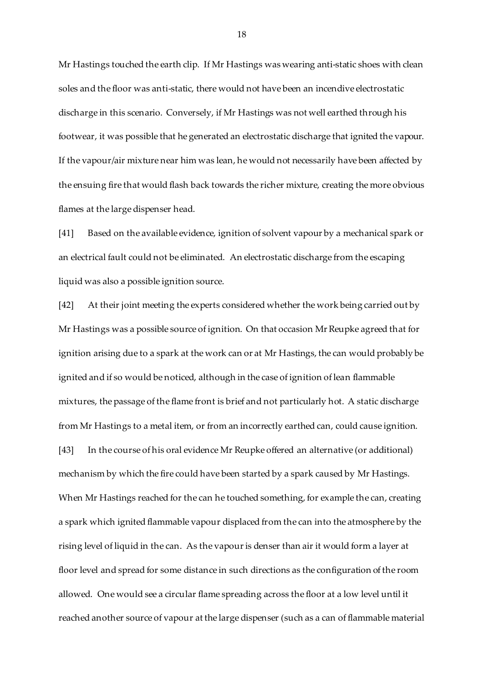Mr Hastings touched the earth clip. If Mr Hastings was wearing anti-static shoes with clean soles and the floor was anti-static, there would not have been an incendive electrostatic discharge in this scenario. Conversely, if Mr Hastings was not well earthed through his footwear, it was possible that he generated an electrostatic discharge that ignited the vapour. If the vapour/air mixture near him was lean, he would not necessarily have been affected by the ensuing fire that would flash back towards the richer mixture, creating the more obvious flames at the large dispenser head.

[41] Based on the available evidence, ignition of solvent vapour by a mechanical spark or an electrical fault could not be eliminated. An electrostatic discharge from the escaping liquid was also a possible ignition source.

[42] At their joint meeting the experts considered whether the work being carried out by Mr Hastings was a possible source of ignition. On that occasion Mr Reupke agreed that for ignition arising due to a spark at the work can or at Mr Hastings, the can would probably be ignited and if so would be noticed, although in the case of ignition of lean flammable mixtures, the passage of the flame front is brief and not particularly hot. A static discharge from Mr Hastings to a metal item, or from an incorrectly earthed can, could cause ignition. [43] In the course of his oral evidence Mr Reupke offered an alternative (or additional) mechanism by which the fire could have been started by a spark caused by Mr Hastings. When Mr Hastings reached for the can he touched something, for example the can, creating a spark which ignited flammable vapour displaced from the can into the atmosphere by the rising level of liquid in the can. As the vapour is denser than air it would form a layer at floor level and spread for some distance in such directions as the configuration of the room allowed. One would see a circular flame spreading across the floor at a low level until it reached another source of vapour at the large dispenser (such as a can of flammable material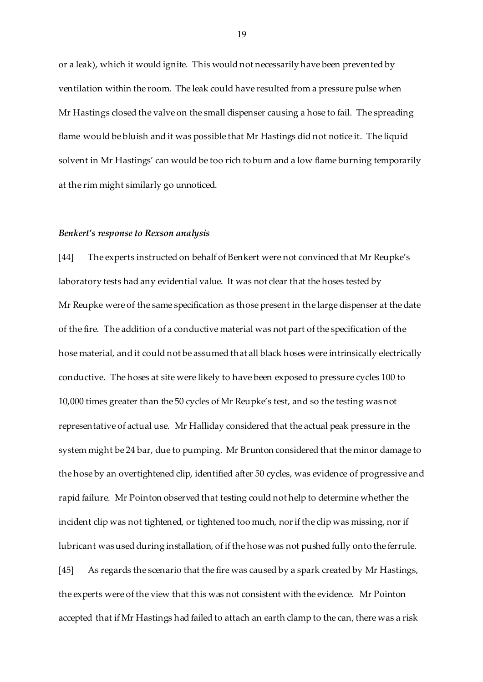or a leak), which it would ignite. This would not necessarily have been prevented by ventilation within the room. The leak could have resulted from a pressure pulse when Mr Hastings closed the valve on the small dispenser causing a hose to fail. The spreading flame would be bluish and it was possible that Mr Hastings did not notice it. The liquid solvent in Mr Hastings' can would be too rich to burn and a low flame burning temporarily at the rim might similarly go unnoticed.

### *Benkert's response to Rexson analysis*

[44] The experts instructed on behalf of Benkert were not convinced that Mr Reupke's laboratory tests had any evidential value. It was not clear that the hoses tested by Mr Reupke were of the same specification as those present in the large dispenser at the date of the fire. The addition of a conductive material was not part of the specification of the hose material, and it could not be assumed that all black hoses were intrinsically electrically conductive. The hoses at site were likely to have been exposed to pressure cycles 100 to 10,000 times greater than the 50 cycles of Mr Reupke's test, and so the testing was not representative of actual use. Mr Halliday considered that the actual peak pressure in the system might be 24 bar, due to pumping. Mr Brunton considered that the minor damage to the hose by an overtightened clip, identified after 50 cycles, was evidence of progressive and rapid failure. Mr Pointon observed that testing could not help to determine whether the incident clip was not tightened, or tightened too much, nor if the clip was missing, nor if lubricant was used during installation, of if the hose was not pushed fully onto the ferrule. [45] As regards the scenario that the fire was caused by a spark created by Mr Hastings, the experts were of the view that this was not consistent with the evidence. Mr Pointon

accepted that if Mr Hastings had failed to attach an earth clamp to the can, there was a risk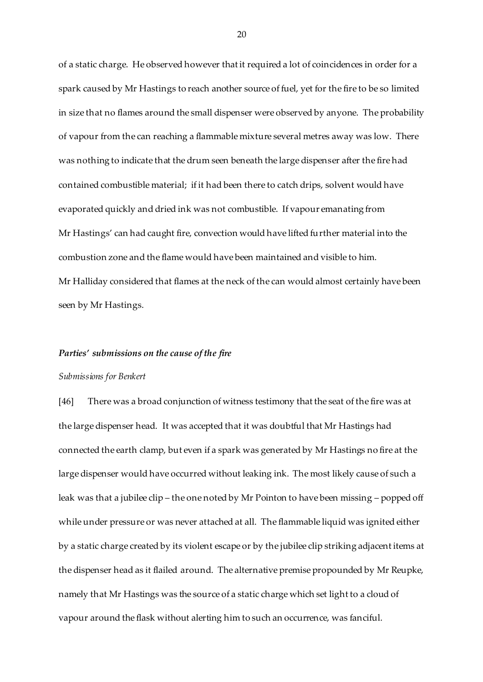of a static charge. He observed however that it required a lot of coincidences in order for a spark caused by Mr Hastings to reach another source of fuel, yet for the fire to be so limited in size that no flames around the small dispenser were observed by anyone. The probability of vapour from the can reaching a flammable mixture several metres away was low. There was nothing to indicate that the drum seen beneath the large dispenser after the fire had contained combustible material; if it had been there to catch drips, solvent would have evaporated quickly and dried ink was not combustible. If vapour emanating from Mr Hastings' can had caught fire, convection would have lifted further material into the combustion zone and the flame would have been maintained and visible to him. Mr Halliday considered that flames at the neck of the can would almost certainly have been seen by Mr Hastings.

#### *Parties' submissions on the cause of the fire*

#### *Submissions for Benkert*

[46] There was a broad conjunction of witness testimony that the seat of the fire was at the large dispenser head. It was accepted that it was doubtful that Mr Hastings had connected the earth clamp, but even if a spark was generated by Mr Hastings no fire at the large dispenser would have occurred without leaking ink. The most likely cause of such a leak was that a jubilee clip – the one noted by Mr Pointon to have been missing – popped off while under pressure or was never attached at all. The flammable liquid was ignited either by a static charge created by its violent escape or by the jubilee clip striking adjacent items at the dispenser head as it flailed around. The alternative premise propounded by Mr Reupke, namely that Mr Hastings was the source of a static charge which set light to a cloud of vapour around the flask without alerting him to such an occurrence, was fanciful.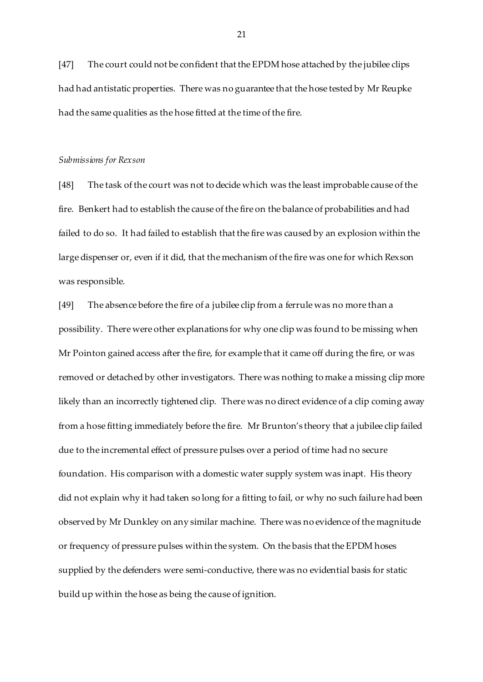[47] The court could not be confident that the EPDM hose attached by the jubilee clips had had antistatic properties. There was no guarantee that the hose tested by Mr Reupke had the same qualities as the hose fitted at the time of the fire.

### *Submissions for Rexson*

[48] The task of the court was not to decide which was the least improbable cause of the fire. Benkert had to establish the cause of the fire on the balance of probabilities and had failed to do so. It had failed to establish that the fire was caused by an explosion within the large dispenser or, even if it did, that the mechanism of the fire was one for which Rexson was responsible.

[49] The absence before the fire of a jubilee clip from a ferrule was no more than a possibility. There were other explanations for why one clip was found to be missing when Mr Pointon gained access after the fire, for example that it came off during the fire, or was removed or detached by other investigators. There was nothing to make a missing clip more likely than an incorrectly tightened clip. There was no direct evidence of a clip coming away from a hose fitting immediately before the fire. Mr Brunton's theory that a jubilee clip failed due to the incremental effect of pressure pulses over a period of time had no secure foundation. His comparison with a domestic water supply system was inapt. His theory did not explain why it had taken so long for a fitting to fail, or why no such failure had been observed by Mr Dunkley on any similar machine. There was no evidence of the magnitude or frequency of pressure pulses within the system. On the basis that the EPDM hoses supplied by the defenders were semi-conductive, there was no evidential basis for static build up within the hose as being the cause of ignition.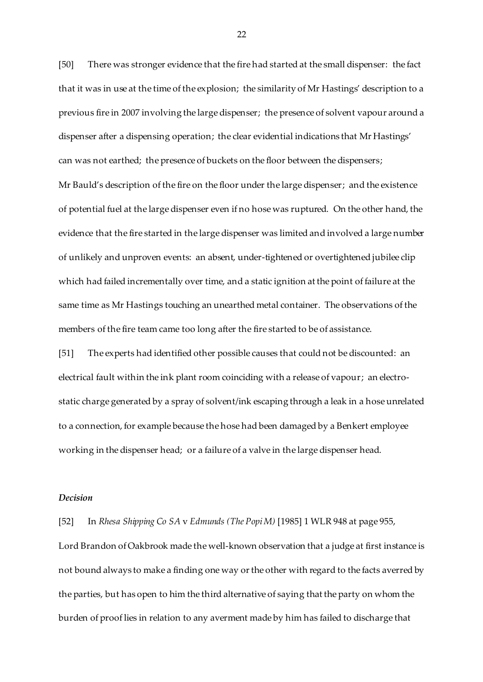[50] There was stronger evidence that the fire had started at the small dispenser: the fact that it was in use at the time of the explosion; the similarity of Mr Hastings' description to a previous fire in 2007 involving the large dispenser; the presence of solvent vapour around a dispenser after a dispensing operation; the clear evidential indications that Mr Hastings' can was not earthed; the presence of buckets on the floor between the dispensers; Mr Bauld's description of the fire on the floor under the large dispenser; and the existence of potential fuel at the large dispenser even if no hose was ruptured. On the other hand, the evidence that the fire started in the large dispenser was limited and involved a large number of unlikely and unproven events: an absent, under-tightened or overtightened jubilee clip which had failed incrementally over time, and a static ignition at the point of failure at the same time as Mr Hastings touching an unearthed metal container. The observations of the members of the fire team came too long after the fire started to be of assistance.

[51] The experts had identified other possible causes that could not be discounted: an electrical fault within the ink plant room coinciding with a release of vapour; an electrostatic charge generated by a spray of solvent/ink escaping through a leak in a hose unrelated to a connection, for example because the hose had been damaged by a Benkert employee working in the dispenser head; or a failure of a valve in the large dispenser head.

## *Decision*

[52] In *Rhesa Shipping Co SA* v *Edmunds (The Popi M)* [1985] 1 WLR 948 at page 955, Lord Brandon of Oakbrook made the well-known observation that a judge at first instance is not bound always to make a finding one way or the other with regard to the facts averred by the parties, but has open to him the third alternative of saying that the party on whom the burden of proof lies in relation to any averment made by him has failed to discharge that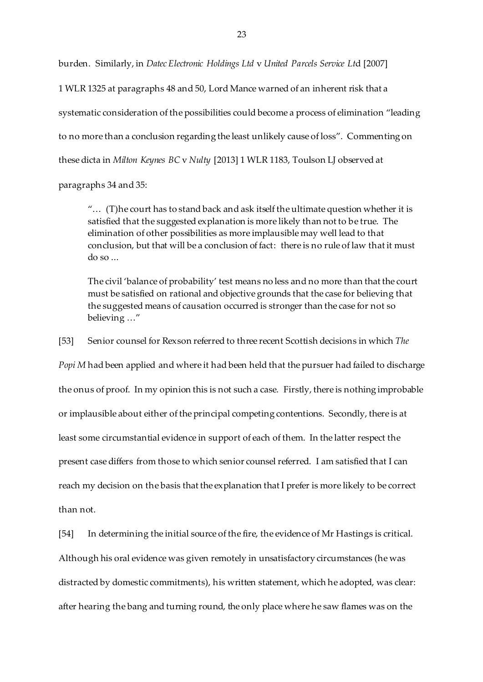burden. Similarly, in *Datec Electronic Holdings Ltd* v *United Parcels Service Lt*d [2007] 1 WLR 1325 at paragraphs 48 and 50, Lord Mance warned of an inherent risk that a systematic consideration of the possibilities could become a process of elimination "leading to no more than a conclusion regarding the least unlikely cause of loss". Commenting on these dicta in *Milton Keynes BC* v *Nulty* [2013] 1 WLR 1183, Toulson LJ observed at

paragraphs 34 and 35:

"… (T)he court has to stand back and ask itself the ultimate question whether it is satisfied that the suggested explanation is more likely than not to be true. The elimination of other possibilities as more implausible may well lead to that conclusion, but that will be a conclusion of fact: there is no rule of law that it must  $d$ o so  $\ldots$ 

The civil 'balance of probability' test means no less and no more than that the court must be satisfied on rational and objective grounds that the case for believing that the suggested means of causation occurred is stronger than the case for not so believing …"

[53] Senior counsel for Rexson referred to three recent Scottish decisions in which *The* 

*Popi M* had been applied and where it had been held that the pursuer had failed to discharge the onus of proof. In my opinion this is not such a case. Firstly, there is nothing improbable or implausible about either of the principal competing contentions. Secondly, there is at least some circumstantial evidence in support of each of them. In the latter respect the present case differs from those to which senior counsel referred. I am satisfied that I can reach my decision on the basis that the explanation that I prefer is more likely to be correct than not.

[54] In determining the initial source of the fire, the evidence of Mr Hastings is critical. Although his oral evidence was given remotely in unsatisfactory circumstances (he was distracted by domestic commitments), his written statement, which he adopted, was clear: after hearing the bang and turning round, the only place where he saw flames was on the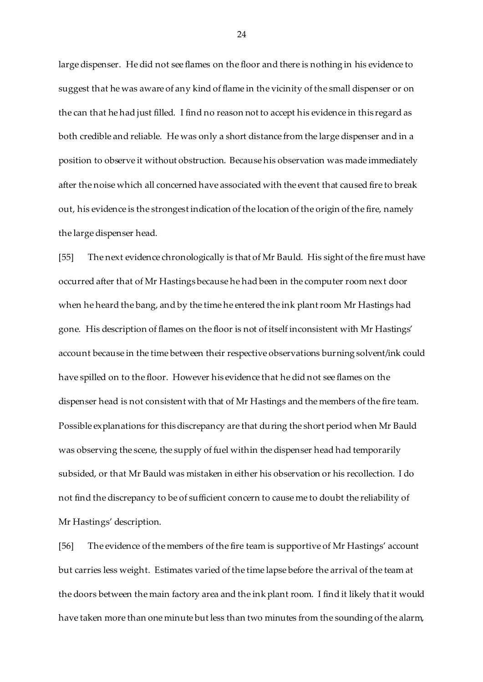large dispenser. He did not see flames on the floor and there is nothing in his evidence to suggest that he was aware of any kind of flame in the vicinity of the small dispenser or on the can that he had just filled. I find no reason not to accept his evidence in this regard as both credible and reliable. He was only a short distance from the large dispenser and in a position to observe it without obstruction. Because his observation was made immediately after the noise which all concerned have associated with the event that caused fire to break out, his evidence is the strongest indication of the location of the origin of the fire, namely the large dispenser head.

[55] The next evidence chronologically is that of Mr Bauld. His sight of the fire must have occurred after that of Mr Hastings because he had been in the computer room next door when he heard the bang, and by the time he entered the ink plant room Mr Hastings had gone. His description of flames on the floor is not of itself inconsistent with Mr Hastings' account because in the time between their respective observations burning solvent/ink could have spilled on to the floor. However his evidence that he did not see flames on the dispenser head is not consistent with that of Mr Hastings and the members of the fire team. Possible explanations for this discrepancy are that during the short period when Mr Bauld was observing the scene, the supply of fuel within the dispenser head had temporarily subsided, or that Mr Bauld was mistaken in either his observation or his recollection. I do not find the discrepancy to be of sufficient concern to cause me to doubt the reliability of Mr Hastings' description.

[56] The evidence of the members of the fire team is supportive of Mr Hastings' account but carries less weight. Estimates varied of the time lapse before the arrival of the team at the doors between the main factory area and the ink plant room. I find it likely that it would have taken more than one minute but less than two minutes from the sounding of the alarm,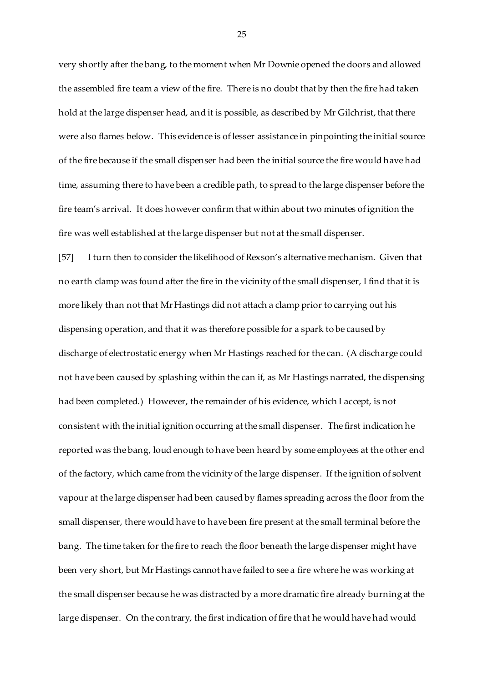very shortly after the bang, to the moment when Mr Downie opened the doors and allowed the assembled fire team a view of the fire. There is no doubt that by then the fire had taken hold at the large dispenser head, and it is possible, as described by Mr Gilchrist, that there were also flames below. This evidence is of lesser assistance in pinpointing the initial source of the fire because if the small dispenser had been the initial source the fire would have had time, assuming there to have been a credible path, to spread to the large dispenser before the fire team's arrival. It does however confirm that within about two minutes of ignition the fire was well established at the large dispenser but not at the small dispenser.

[57] I turn then to consider the likelihood of Rexson's alternative mechanism. Given that no earth clamp was found after the fire in the vicinity of the small dispenser, I find that it is more likely than not that Mr Hastings did not attach a clamp prior to carrying out his dispensing operation, and that it was therefore possible for a spark to be caused by discharge of electrostatic energy when Mr Hastings reached for the can. (A discharge could not have been caused by splashing within the can if, as Mr Hastings narrated, the dispensing had been completed.) However, the remainder of his evidence, which I accept, is not consistent with the initial ignition occurring at the small dispenser. The first indication he reported was the bang, loud enough to have been heard by some employees at the other end of the factory, which came from the vicinity of the large dispenser. If the ignition of solvent vapour at the large dispenser had been caused by flames spreading across the floor from the small dispenser, there would have to have been fire present at the small terminal before the bang. The time taken for the fire to reach the floor beneath the large dispenser might have been very short, but Mr Hastings cannot have failed to see a fire where he was working at the small dispenser because he was distracted by a more dramatic fire already burning at the large dispenser. On the contrary, the first indication of fire that he would have had would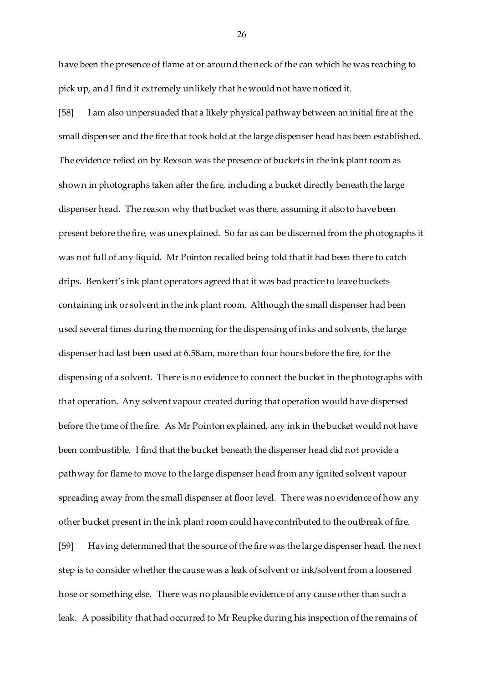have been the presence of flame at or around the neck of the can which he was reaching to pick up, and I find it extremely unlikely that he would not have noticed it.

[58] I am also unpersuaded that a likely physical pathway between an initial fire at the small dispenser and the fire that took hold at the large dispenser head has been established. The evidence relied on by Rexson was the presence of buckets in the ink plant room as shown in photographs taken after the fire, including a bucket directly beneath the large dispenser head. The reason why that bucket was there, assuming it also to have been present before the fire, was unexplained. So far as can be discerned from the photographs it was not full of any liquid. Mr Pointon recalled being told that it had been there to catch drips. Benkert's ink plant operators agreed that it was bad practice to leave buckets containing ink or solvent in the ink plant room. Although the small dispenser had been used several times during the morning for the dispensing of inks and solvents, the large dispenser had last been used at 6.58am, more than four hours before the fire, for the dispensing of a solvent. There is no evidence to connect the bucket in the photographs with that operation. Any solvent vapour created during that operation would have dispersed before the time of the fire. As Mr Pointon explained, any ink in the bucket would not have been combustible. I find that the bucket beneath the dispenser head did not provide a pathway for flame to move to the large dispenser head from any ignited solvent vapour spreading away from the small dispenser at floor level. There was no evidence of how any other bucket present in the ink plant room could have contributed to the outbreak of fire. [59] Having determined that the source of the fire was the large dispenser head, the next step is to consider whether the cause was a leak of solvent or ink/solvent from a loosened hose or something else. There was no plausible evidence of any cause other than such a leak. A possibility that had occurred to Mr Reupke during his inspection of the remains of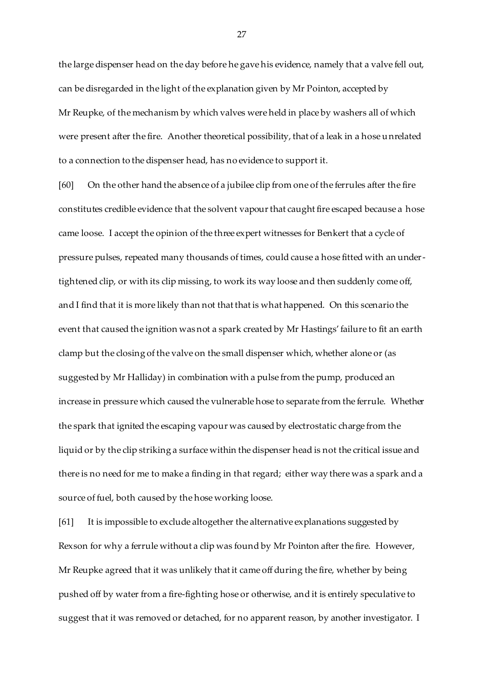the large dispenser head on the day before he gave his evidence, namely that a valve fell out, can be disregarded in the light of the explanation given by Mr Pointon, accepted by Mr Reupke, of the mechanism by which valves were held in place by washers all of which were present after the fire. Another theoretical possibility, that of a leak in a hose unrelated to a connection to the dispenser head, has no evidence to support it.

[60] On the other hand the absence of a jubilee clip from one of the ferrules after the fire constitutes credible evidence that the solvent vapour that caught fire escaped because a hose came loose. I accept the opinion of the three expert witnesses for Benkert that a cycle of pressure pulses, repeated many thousands of times, could cause a hose fitted with an undertightened clip, or with its clip missing, to work its way loose and then suddenly come off, and I find that it is more likely than not that that is what happened. On this scenario the event that caused the ignition was not a spark created by Mr Hastings' failure to fit an earth clamp but the closing of the valve on the small dispenser which, whether alone or (as suggested by Mr Halliday) in combination with a pulse from the pump, produced an increase in pressure which caused the vulnerable hose to separate from the ferrule. Whether the spark that ignited the escaping vapour was caused by electrostatic charge from the liquid or by the clip striking a surface within the dispenser head is not the critical issue and there is no need for me to make a finding in that regard; either way there was a spark and a source of fuel, both caused by the hose working loose.

[61] It is impossible to exclude altogether the alternative explanations suggested by Rexson for why a ferrule without a clip was found by Mr Pointon after the fire. However, Mr Reupke agreed that it was unlikely that it came off during the fire, whether by being pushed off by water from a fire-fighting hose or otherwise, and it is entirely speculative to suggest that it was removed or detached, for no apparent reason, by another investigator. I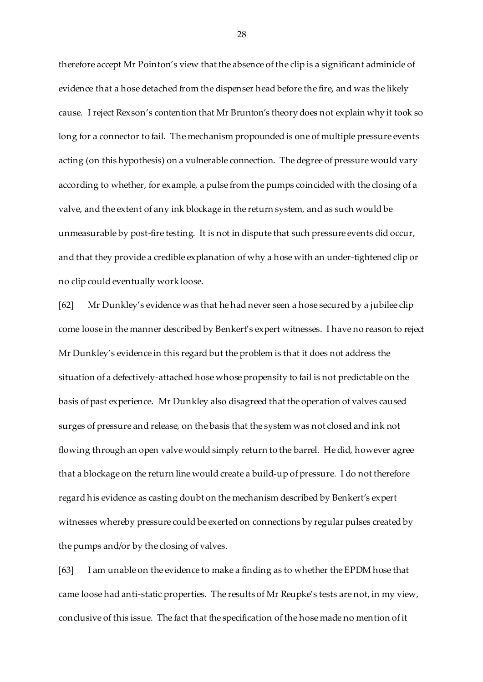therefore accept Mr Pointon's view that the absence of the clip is a significant adminicle of evidence that a hose detached from the dispenser head before the fire, and was the likely cause. I reject Rexson's contention that Mr Brunton's theory does not explain why it took so long for a connector to fail. The mechanism propounded is one of multiple pressure events acting (on this hypothesis) on a vulnerable connection. The degree of pressure would vary according to whether, for example, a pulse from the pumps coincided with the closing of a valve, and the extent of any ink blockage in the return system, and as such would be unmeasurable by post-fire testing. It is not in dispute that such pressure events did occur, and that they provide a credible explanation of why a hose with an under-tightened clip or no clip could eventually work loose.

[62] Mr Dunkley's evidence was that he had never seen a hose secured by a jubilee clip come loose in the manner described by Benkert's expert witnesses. I have no reason to reject Mr Dunkley's evidence in this regard but the problem is that it does not address the situation of a defectively-attached hose whose propensity to fail is not predictable on the basis of past experience. Mr Dunkley also disagreed that the operation of valves caused surges of pressure and release, on the basis that the system was not closed and ink not flowing through an open valve would simply return to the barrel. He did, however agree that a blockage on the return line would create a build-up of pressure. I do not therefore regard his evidence as casting doubt on the mechanism described by Benkert's expert witnesses whereby pressure could be exerted on connections by regular pulses created by the pumps and/or by the closing of valves.

[63] I am unable on the evidence to make a finding as to whether the EPDM hose that came loose had anti-static properties. The results of Mr Reupke's tests are not, in my view, conclusive of this issue. The fact that the specification of the hose made no mention of it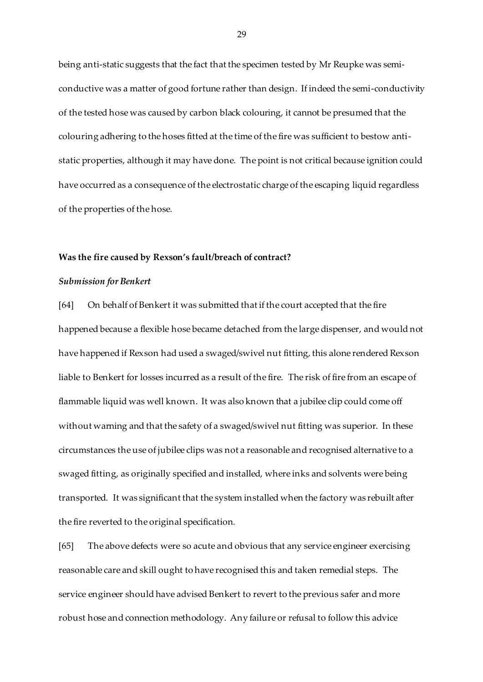being anti-static suggests that the fact that the specimen tested by Mr Reupke was semiconductive was a matter of good fortune rather than design. If indeed the semi-conductivity of the tested hose was caused by carbon black colouring, it cannot be presumed that the colouring adhering to the hoses fitted at the time of the fire was sufficient to bestow antistatic properties, although it may have done. The point is not critical because ignition could have occurred as a consequence of the electrostatic charge of the escaping liquid regardless of the properties of the hose.

### **Was the fire caused by Rexson's fault/breach of contract?**

### *Submission for Benkert*

[64] On behalf of Benkert it was submitted that if the court accepted that the fire happened because a flexible hose became detached from the large dispenser, and would not have happened if Rexson had used a swaged/swivel nut fitting, this alone rendered Rexson liable to Benkert for losses incurred as a result of the fire. The risk of fire from an escape of flammable liquid was well known. It was also known that a jubilee clip could come off without warning and that the safety of a swaged/swivel nut fitting was superior. In these circumstances the use of jubilee clips was not a reasonable and recognised alternative to a swaged fitting, as originally specified and installed, where inks and solvents were being transported. It was significant that the system installed when the factory was rebuilt after the fire reverted to the original specification.

[65] The above defects were so acute and obvious that any service engineer exercising reasonable care and skill ought to have recognised this and taken remedial steps. The service engineer should have advised Benkert to revert to the previous safer and more robust hose and connection methodology. Any failure or refusal to follow this advice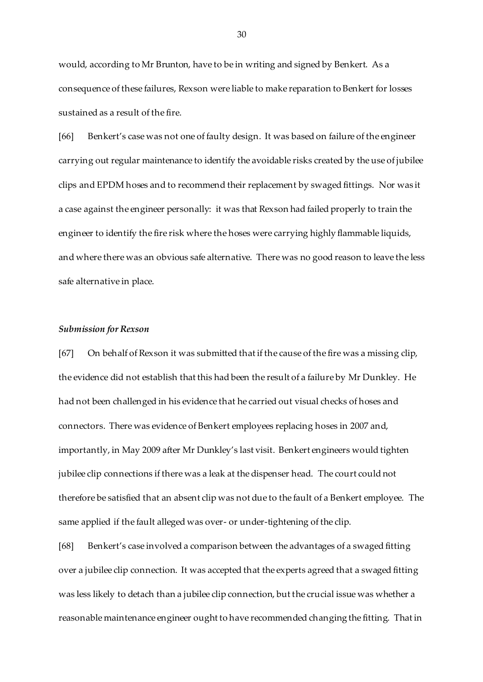would, according to Mr Brunton, have to be in writing and signed by Benkert. As a consequence of these failures, Rexson were liable to make reparation to Benkert for losses sustained as a result of the fire.

[66] Benkert's case was not one of faulty design. It was based on failure of the engineer carrying out regular maintenance to identify the avoidable risks created by the use of jubilee clips and EPDM hoses and to recommend their replacement by swaged fittings. Nor was it a case against the engineer personally: it was that Rexson had failed properly to train the engineer to identify the fire risk where the hoses were carrying highly flammable liquids, and where there was an obvious safe alternative. There was no good reason to leave the less safe alternative in place.

## *Submission for Rexson*

[67] On behalf of Rexson it was submitted that if the cause of the fire was a missing clip, the evidence did not establish that this had been the result of a failure by Mr Dunkley. He had not been challenged in his evidence that he carried out visual checks of hoses and connectors. There was evidence of Benkert employees replacing hoses in 2007 and, importantly, in May 2009 after Mr Dunkley's last visit. Benkert engineers would tighten jubilee clip connections if there was a leak at the dispenser head. The court could not therefore be satisfied that an absent clip was not due to the fault of a Benkert employee. The same applied if the fault alleged was over- or under-tightening of the clip.

[68] Benkert's case involved a comparison between the advantages of a swaged fitting over a jubilee clip connection. It was accepted that the experts agreed that a swaged fitting was less likely to detach than a jubilee clip connection, but the crucial issue was whether a reasonable maintenance engineer ought to have recommended changing the fitting. That in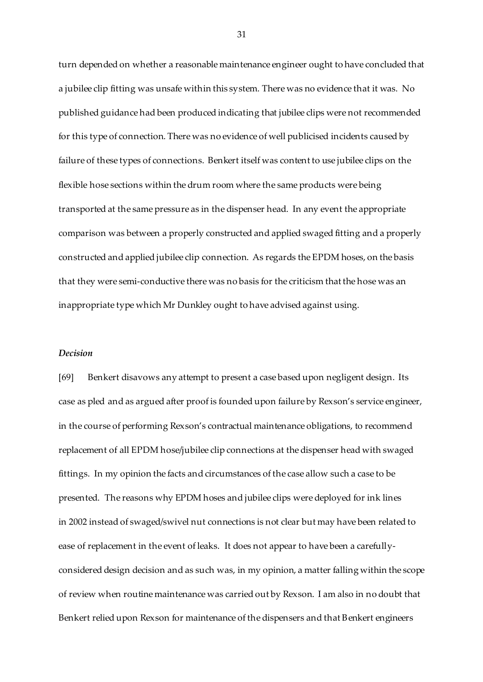turn depended on whether a reasonable maintenance engineer ought to have concluded that a jubilee clip fitting was unsafe within this system. There was no evidence that it was. No published guidance had been produced indicating that jubilee clips were not recommended for this type of connection. There was no evidence of well publicised incidents caused by failure of these types of connections. Benkert itself was content to use jubilee clips on the flexible hose sections within the drum room where the same products were being transported at the same pressure as in the dispenser head. In any event the appropriate comparison was between a properly constructed and applied swaged fitting and a properly constructed and applied jubilee clip connection. As regards the EPDM hoses, on the basis that they were semi-conductive there was no basis for the criticism that the hose was an inappropriate type which Mr Dunkley ought to have advised against using.

# *Decision*

[69] Benkert disavows any attempt to present a case based upon negligent design. Its case as pled and as argued after proof is founded upon failure by Rexson's service engineer, in the course of performing Rexson's contractual maintenance obligations, to recommend replacement of all EPDM hose/jubilee clip connections at the dispenser head with swaged fittings. In my opinion the facts and circumstances of the case allow such a case to be presented. The reasons why EPDM hoses and jubilee clips were deployed for ink lines in 2002 instead of swaged/swivel nut connections is not clear but may have been related to ease of replacement in the event of leaks. It does not appear to have been a carefullyconsidered design decision and as such was, in my opinion, a matter falling within the scope of review when routine maintenance was carried out by Rexson. I am also in no doubt that Benkert relied upon Rexson for maintenance of the dispensers and that Benkert engineers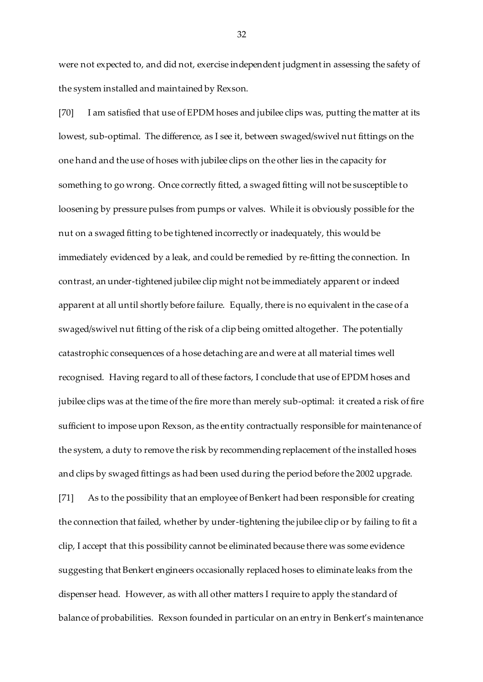were not expected to, and did not, exercise independent judgment in assessing the safety of the system installed and maintained by Rexson.

[70] I am satisfied that use of EPDM hoses and jubilee clips was, putting the matter at its lowest, sub-optimal. The difference, as I see it, between swaged/swivel nut fittings on the one hand and the use of hoses with jubilee clips on the other lies in the capacity for something to go wrong. Once correctly fitted, a swaged fitting will not be susceptible to loosening by pressure pulses from pumps or valves. While it is obviously possible for the nut on a swaged fitting to be tightened incorrectly or inadequately, this would be immediately evidenced by a leak, and could be remedied by re-fitting the connection. In contrast, an under-tightened jubilee clip might not be immediately apparent or indeed apparent at all until shortly before failure. Equally, there is no equivalent in the case of a swaged/swivel nut fitting of the risk of a clip being omitted altogether. The potentially catastrophic consequences of a hose detaching are and were at all material times well recognised. Having regard to all of these factors, I conclude that use of EPDM hoses and jubilee clips was at the time of the fire more than merely sub-optimal: it created a risk of fire sufficient to impose upon Rexson, as the entity contractually responsible for maintenance of the system, a duty to remove the risk by recommending replacement of the installed hoses and clips by swaged fittings as had been used during the period before the 2002 upgrade. [71] As to the possibility that an employee of Benkert had been responsible for creating the connection that failed, whether by under-tightening the jubilee clip or by failing to fit a clip, I accept that this possibility cannot be eliminated because there was some evidence suggesting that Benkert engineers occasionally replaced hoses to eliminate leaks from the dispenser head. However, as with all other matters I require to apply the standard of balance of probabilities. Rexson founded in particular on an entry in Benkert's maintenance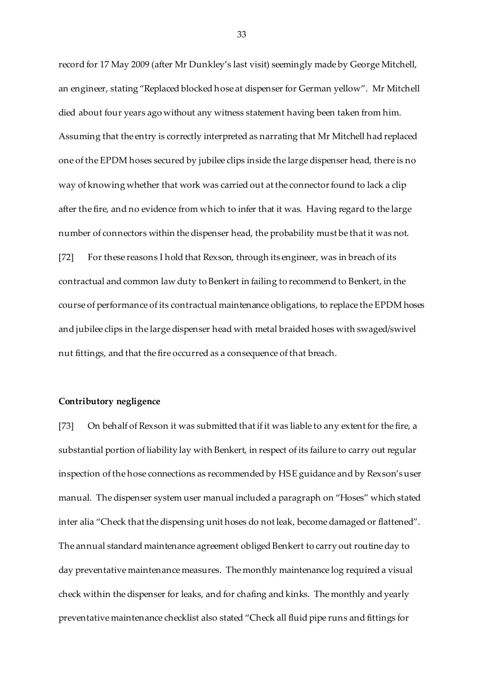record for 17 May 2009 (after Mr Dunkley's last visit) seemingly made by George Mitchell, an engineer, stating "Replaced blocked hose at dispenser for German yellow". Mr Mitchell died about four years ago without any witness statement having been taken from him. Assuming that the entry is correctly interpreted as narrating that Mr Mitchell had replaced one of the EPDM hoses secured by jubilee clips inside the large dispenser head, there is no way of knowing whether that work was carried out at the connector found to lack a clip after the fire, and no evidence from which to infer that it was. Having regard to the large number of connectors within the dispenser head, the probability must be that it was not. [72] For these reasons I hold that Rexson, through its engineer, was in breach of its contractual and common law duty to Benkert in failing to recommend to Benkert, in the course of performance of its contractual maintenance obligations, to replace the EPDM hoses and jubilee clips in the large dispenser head with metal braided hoses with swaged/swivel nut fittings, and that the fire occurred as a consequence of that breach.

## **Contributory negligence**

[73] On behalf of Rexson it was submitted that if it was liable to any extent for the fire, a substantial portion of liability lay with Benkert, in respect of its failure to carry out regular inspection of the hose connections as recommended by HSE guidance and by Rexson's user manual. The dispenser system user manual included a paragraph on "Hoses" which stated inter alia "Check that the dispensing unit hoses do not leak, become damaged or flattened". The annual standard maintenance agreement obliged Benkert to carry out routine day to day preventative maintenance measures. The monthly maintenance log required a visual check within the dispenser for leaks, and for chafing and kinks. The monthly and yearly preventative maintenance checklist also stated "Check all fluid pipe runs and fittings for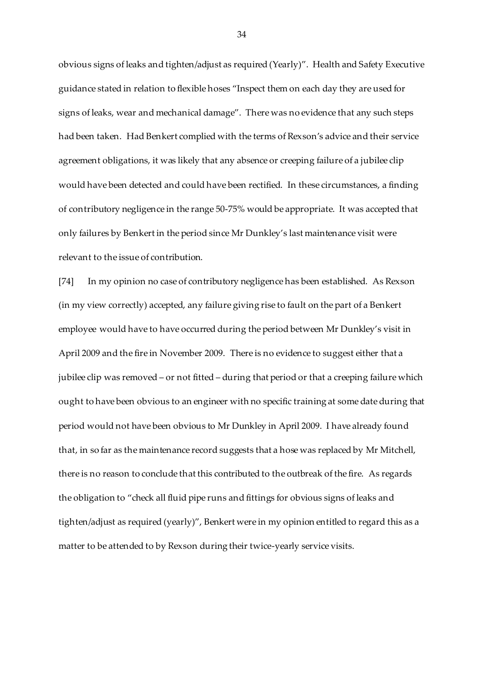obvious signs of leaks and tighten/adjust as required (Yearly)". Health and Safety Executive guidance stated in relation to flexible hoses "Inspect them on each day they are used for signs of leaks, wear and mechanical damage". There was no evidence that any such steps had been taken. Had Benkert complied with the terms of Rexson's advice and their service agreement obligations, it was likely that any absence or creeping failure of a jubilee clip would have been detected and could have been rectified. In these circumstances, a finding of contributory negligence in the range 50-75% would be appropriate. It was accepted that only failures by Benkert in the period since Mr Dunkley's last maintenance visit were relevant to the issue of contribution.

[74] In my opinion no case of contributory negligence has been established. As Rexson (in my view correctly) accepted, any failure giving rise to fault on the part of a Benkert employee would have to have occurred during the period between Mr Dunkley's visit in April 2009 and the fire in November 2009. There is no evidence to suggest either that a jubilee clip was removed – or not fitted – during that period or that a creeping failure which ought to have been obvious to an engineer with no specific training at some date during that period would not have been obvious to Mr Dunkley in April 2009. I have already found that, in so far as the maintenance record suggests that a hose was replaced by Mr Mitchell, there is no reason to conclude that this contributed to the outbreak of the fire. As regards the obligation to "check all fluid pipe runs and fittings for obvious signs of leaks and tighten/adjust as required (yearly)", Benkert were in my opinion entitled to regard this as a matter to be attended to by Rexson during their twice-yearly service visits.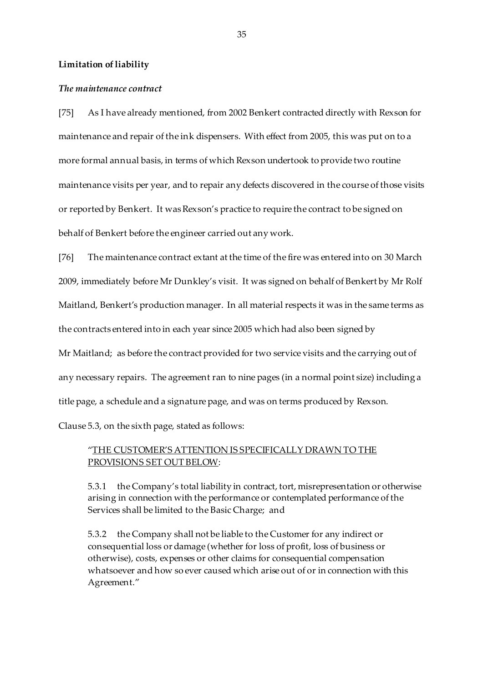## **Limitation of liability**

### *The maintenance contract*

[75] As I have already mentioned, from 2002 Benkert contracted directly with Rexson for maintenance and repair of the ink dispensers. With effect from 2005, this was put on to a more formal annual basis, in terms of which Rexson undertook to provide two routine maintenance visits per year, and to repair any defects discovered in the course of those visits or reported by Benkert. It was Rexson's practice to require the contract to be signed on behalf of Benkert before the engineer carried out any work.

[76] The maintenance contract extant at the time of the fire was entered into on 30 March 2009, immediately before Mr Dunkley's visit. It was signed on behalf of Benkert by Mr Rolf Maitland, Benkert's production manager. In all material respects it was in the same terms as the contracts entered into in each year since 2005 which had also been signed by

Mr Maitland; as before the contract provided for two service visits and the carrying out of any necessary repairs. The agreement ran to nine pages (in a normal point size) including a title page, a schedule and a signature page, and was on terms produced by Rexson.

Clause 5.3, on the sixth page, stated as follows:

# "THE CUSTOMER'S ATTENTION IS SPECIFICALLY DRAWN TO THE PROVISIONS SET OUT BELOW:

5.3.1 the Company's total liability in contract, tort, misrepresentation or otherwise arising in connection with the performance or contemplated performance of the Services shall be limited to the Basic Charge; and

5.3.2 the Company shall not be liable to the Customer for any indirect or consequential loss or damage (whether for loss of profit, loss of business or otherwise), costs, expenses or other claims for consequential compensation whatsoever and how so ever caused which arise out of or in connection with this Agreement."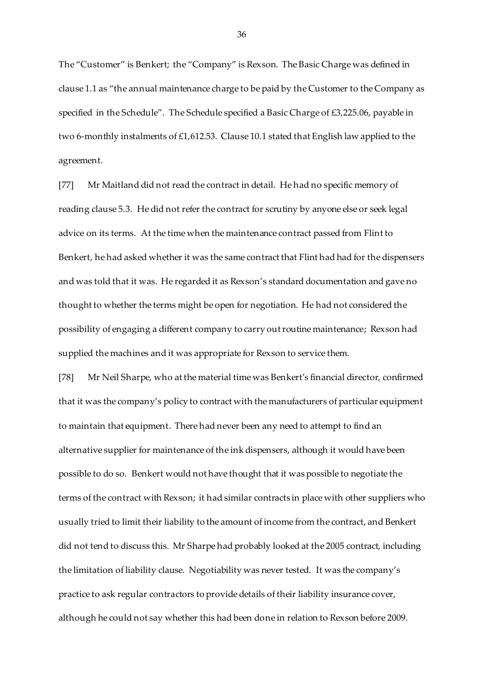The "Customer" is Benkert; the "Company" is Rexson. The Basic Charge was defined in clause 1.1 as "the annual maintenance charge to be paid by the Customer to the Company as specified in the Schedule". The Schedule specified a Basic Charge of £3,225.06, payable in two 6-monthly instalments of £1,612.53. Clause 10.1 stated that English law applied to the agreement.

[77] Mr Maitland did not read the contract in detail. He had no specific memory of reading clause 5.3. He did not refer the contract for scrutiny by anyone else or seek legal advice on its terms. At the time when the maintenance contract passed from Flint to Benkert, he had asked whether it was the same contract that Flint had had for the dispensers and was told that it was. He regarded it as Rexson's standard documentation and gave no thought to whether the terms might be open for negotiation. He had not considered the possibility of engaging a different company to carry out routine maintenance; Rexson had supplied the machines and it was appropriate for Rexson to service them.

[78] Mr Neil Sharpe, who at the material time was Benkert's financial director, confirmed that it was the company's policy to contract with the manufacturers of particular equipment to maintain that equipment. There had never been any need to attempt to find an alternative supplier for maintenance of the ink dispensers, although it would have been possible to do so. Benkert would not have thought that it was possible to negotiate the terms of the contract with Rexson; it had similar contracts in place with other suppliers who usually tried to limit their liability to the amount of income from the contract, and Benkert did not tend to discuss this. Mr Sharpe had probably looked at the 2005 contract, including the limitation of liability clause. Negotiability was never tested. It was the company's practice to ask regular contractors to provide details of their liability insurance cover, although he could not say whether this had been done in relation to Rexson before 2009.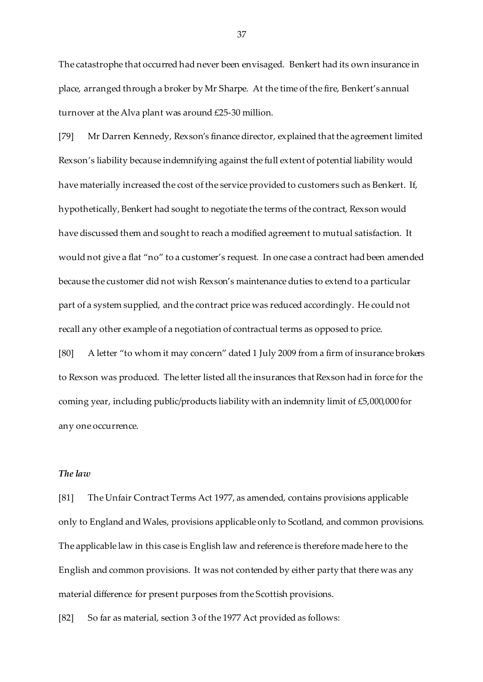The catastrophe that occurred had never been envisaged. Benkert had its own insurance in place, arranged through a broker by Mr Sharpe. At the time of the fire, Benkert's annual turnover at the Alva plant was around £25-30 million.

[79] Mr Darren Kennedy, Rexson's finance director, explained that the agreement limited Rexson's liability because indemnifying against the full extent of potential liability would have materially increased the cost of the service provided to customers such as Benkert. If, hypothetically, Benkert had sought to negotiate the terms of the contract, Rexson would have discussed them and sought to reach a modified agreement to mutual satisfaction. It would not give a flat "no" to a customer's request. In one case a contract had been amended because the customer did not wish Rexson's maintenance duties to extend to a particular part of a system supplied, and the contract price was reduced accordingly. He could not recall any other example of a negotiation of contractual terms as opposed to price.

[80] A letter "to whom it may concern" dated 1 July 2009 from a firm of insurance brokers to Rexson was produced. The letter listed all the insurances that Rexson had in force for the coming year, including public/products liability with an indemnity limit of £5,000,000 for any one occurrence.

# *The law*

[81] The Unfair Contract Terms Act 1977, as amended, contains provisions applicable only to England and Wales, provisions applicable only to Scotland, and common provisions. The applicable law in this case is English law and reference is therefore made here to the English and common provisions. It was not contended by either party that there was any material difference for present purposes from the Scottish provisions.

[82] So far as material, section 3 of the 1977 Act provided as follows: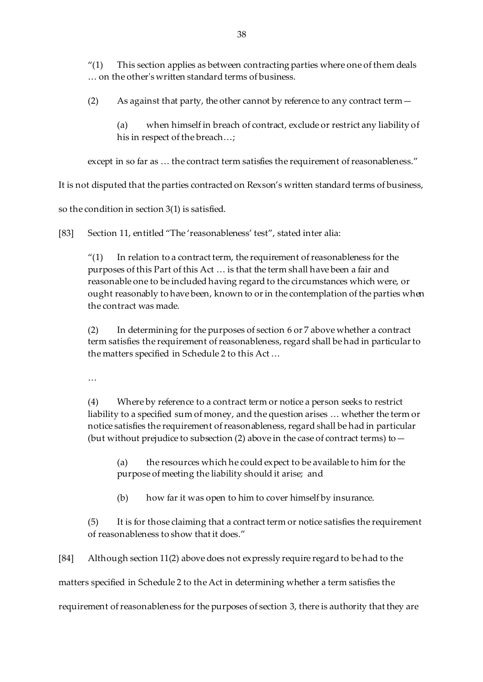" $(1)$  This section applies as between contracting parties where one of them deals … on the other's written standard terms of business.

(2) As against that party, the other cannot by reference to any contract term—

(a) when himself in breach of contract, exclude or restrict any liability of his in respect of the breach…;

except in so far as … the contract term satisfies the requirement of reasonableness."

It is not disputed that the parties contracted on Rexson's written standard terms of business,

so the condition in section 3(1) is satisfied.

[83] Section 11, entitled "The 'reasonableness' test", stated inter alia:

 $''(1)$  In relation to a contract term, the requirement of reasonableness for the purposes of this Part of this Act … is that the term shall have been a fair and reasonable one to be included having regard to the circumstances which were, or ought reasonably to have been, known to or in the contemplation of the parties when the contract was made.

(2) In determining for the purposes of section 6 or 7 above whether a contract term satisfies the requirement of reasonableness, regard shall be had in particular to the matters specified in Schedule 2 to this Act …

…

(4) Where by reference to a contract term or notice a person seeks to restrict liability to a specified sum of money, and the question arises … whether the term or notice satisfies the requirement of reasonableness, regard shall be had in particular (but without prejudice to subsection (2) above in the case of contract terms) to  $-$ 

(a) the resources which he could expect to be available to him for the purpose of meeting the liability should it arise; and

(b) how far it was open to him to cover himself by insurance.

(5) It is for those claiming that a contract term or notice satisfies the requirement of reasonableness to show that it does."

[84] Although section 11(2) above does not expressly require regard to be had to the

matters specified in Schedule 2 to the Act in determining whether a term satisfies the

requirement of reasonableness for the purposes of section 3, there is authority that they are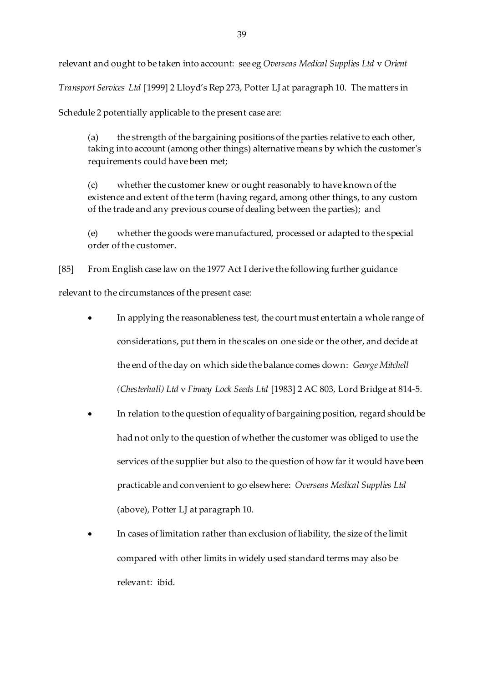relevant and ought to be taken into account: see eg *Overseas Medical Supplies Ltd* v *Orient* 

*Transport Services Ltd* [1999] 2 Lloyd's Rep 273, Potter LJ at paragraph 10. The matters in

Schedule 2 potentially applicable to the present case are:

(a) the strength of the bargaining positions of the parties relative to each other, taking into account (among other things) alternative means by which the customer's requirements could have been met;

(c) whether the customer knew or ought reasonably to have known of the existence and extent of the term (having regard, among other things, to any custom of the trade and any previous course of dealing between the parties); and

(e) whether the goods were manufactured, processed or adapted to the special order of the customer.

[85] From English case law on the 1977 Act I derive the following further guidance relevant to the circumstances of the present case:

- In applying the reasonableness test, the court must entertain a whole range of considerations, put them in the scales on one side or the other, and decide at the end of the day on which side the balance comes down: *George Mitchell (Chesterhall) Ltd* v *Finney Lock Seeds Ltd* [1983] 2 AC 803, Lord Bridge at 814-5.
- In relation to the question of equality of bargaining position, regard should be had not only to the question of whether the customer was obliged to use the services of the supplier but also to the question of how far it would have been practicable and convenient to go elsewhere: *Overseas Medical Supplies Ltd*  (above), Potter LJ at paragraph 10.
- In cases of limitation rather than exclusion of liability, the size of the limit compared with other limits in widely used standard terms may also be relevant: ibid.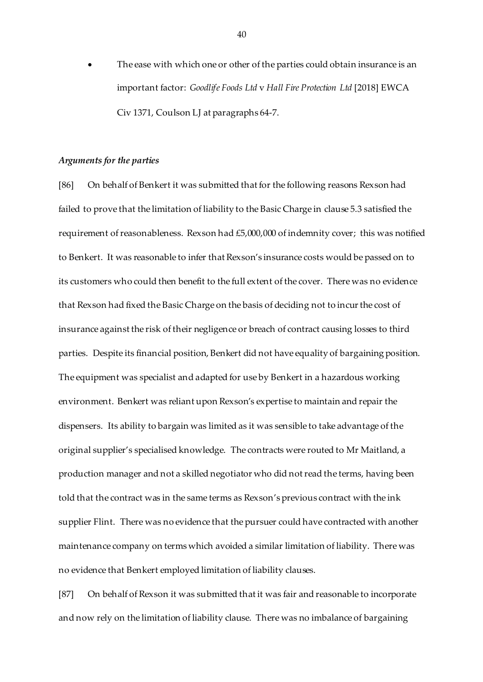The ease with which one or other of the parties could obtain insurance is an important factor: *Goodlife Foods Ltd* v *Hall Fire Protection Ltd* [2018] EWCA Civ 1371, Coulson LJ at paragraphs 64-7.

## *Arguments for the parties*

[86] On behalf of Benkert it was submitted that for the following reasons Rexson had failed to prove that the limitation of liability to the Basic Charge in clause 5.3 satisfied the requirement of reasonableness. Rexson had £5,000,000 of indemnity cover; this was notified to Benkert. It was reasonable to infer that Rexson's insurance costs would be passed on to its customers who could then benefit to the full extent of the cover. There was no evidence that Rexson had fixed the Basic Charge on the basis of deciding not to incur the cost of insurance against the risk of their negligence or breach of contract causing losses to third parties. Despite its financial position, Benkert did not have equality of bargaining position. The equipment was specialist and adapted for use by Benkert in a hazardous working environment. Benkert was reliant upon Rexson's expertise to maintain and repair the dispensers. Its ability to bargain was limited as it was sensible to take advantage of the original supplier's specialised knowledge. The contracts were routed to Mr Maitland, a production manager and not a skilled negotiator who did not read the terms, having been told that the contract was in the same terms as Rexson's previous contract with the ink supplier Flint. There was no evidence that the pursuer could have contracted with another maintenance company on terms which avoided a similar limitation of liability. There was no evidence that Benkert employed limitation of liability clauses.

[87] On behalf of Rexson it was submitted that it was fair and reasonable to incorporate and now rely on the limitation of liability clause. There was no imbalance of bargaining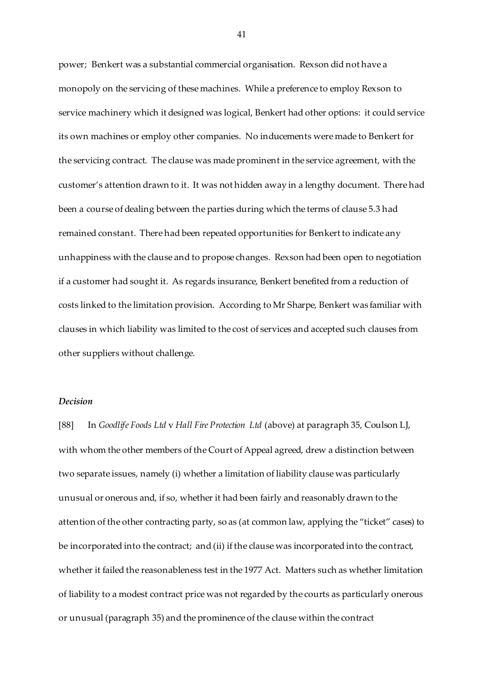power; Benkert was a substantial commercial organisation. Rexson did not have a monopoly on the servicing of these machines. While a preference to employ Rexson to service machinery which it designed was logical, Benkert had other options: it could service its own machines or employ other companies. No inducements were made to Benkert for the servicing contract. The clause was made prominent in the service agreement, with the customer's attention drawn to it. It was not hidden away in a lengthy document. There had been a course of dealing between the parties during which the terms of clause 5.3 had remained constant. There had been repeated opportunities for Benkert to indicate any unhappiness with the clause and to propose changes. Rexson had been open to negotiation if a customer had sought it. As regards insurance, Benkert benefited from a reduction of costs linked to the limitation provision. According to Mr Sharpe, Benkert was familiar with clauses in which liability was limited to the cost of services and accepted such clauses from other suppliers without challenge.

# *Decision*

[88] In *Goodlife Foods Ltd* v *Hall Fire Protection Ltd* (above) at paragraph 35, Coulson LJ, with whom the other members of the Court of Appeal agreed, drew a distinction between two separate issues, namely (i) whether a limitation of liability clause was particularly unusual or onerous and, if so, whether it had been fairly and reasonably drawn to the attention of the other contracting party, so as (at common law, applying the "ticket" cases) to be incorporated into the contract; and (ii) if the clause was incorporated into the contract, whether it failed the reasonableness test in the 1977 Act. Matters such as whether limitation of liability to a modest contract price was not regarded by the courts as particularly onerous or unusual (paragraph 35) and the prominence of the clause within the contract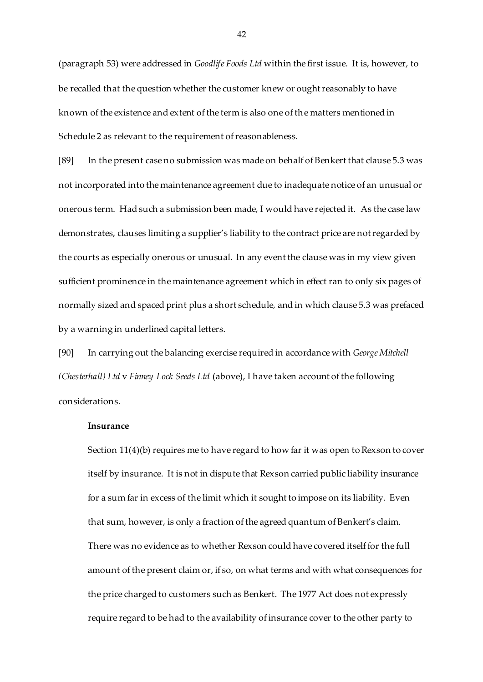(paragraph 53) were addressed in *Goodlife Foods Ltd* within the first issue. It is, however, to be recalled that the question whether the customer knew or ought reasonably to have known of the existence and extent of the term is also one of the matters mentioned in Schedule 2 as relevant to the requirement of reasonableness.

[89] In the present case no submission was made on behalf of Benkert that clause 5.3 was not incorporated into the maintenance agreement due to inadequate notice of an unusual or onerous term. Had such a submission been made, I would have rejected it. As the case law demonstrates, clauses limiting a supplier's liability to the contract price are not regarded by the courts as especially onerous or unusual. In any event the clause was in my view given sufficient prominence in the maintenance agreement which in effect ran to only six pages of normally sized and spaced print plus a short schedule, and in which clause 5.3 was prefaced by a warning in underlined capital letters.

[90] In carrying out the balancing exercise required in accordance with *George Mitchell (Chesterhall) Ltd* v *Finney Lock Seeds Ltd* (above), I have taken account of the following considerations.

## **Insurance**

Section 11(4)(b) requires me to have regard to how far it was open to Rexson to cover itself by insurance. It is not in dispute that Rexson carried public liability insurance for a sum far in excess of the limit which it sought to impose on its liability. Even that sum, however, is only a fraction of the agreed quantum of Benkert's claim. There was no evidence as to whether Rexson could have covered itself for the full amount of the present claim or, if so, on what terms and with what consequences for the price charged to customers such as Benkert. The 1977 Act does not expressly require regard to be had to the availability of insurance cover to the other party to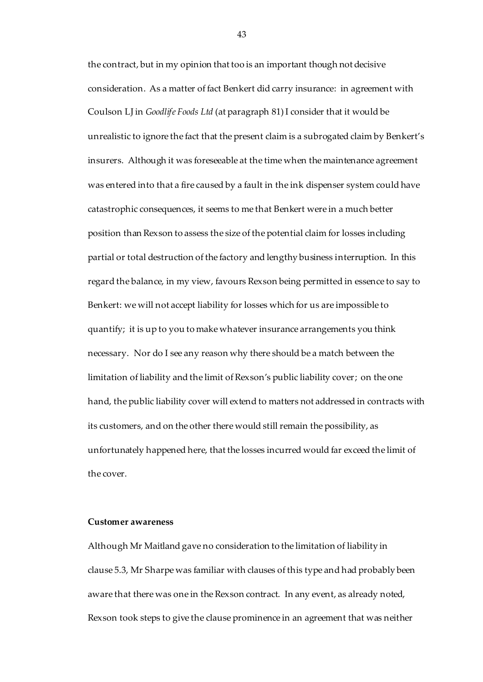the contract, but in my opinion that too is an important though not decisive consideration. As a matter of fact Benkert did carry insurance: in agreement with Coulson LJ in *Goodlife Foods Ltd* (at paragraph 81) I consider that it would be unrealistic to ignore the fact that the present claim is a subrogated claim by Benkert's insurers. Although it was foreseeable at the time when the maintenance agreement was entered into that a fire caused by a fault in the ink dispenser system could have catastrophic consequences, it seems to me that Benkert were in a much better position than Rexson to assess the size of the potential claim for losses including partial or total destruction of the factory and lengthy business interruption. In this regard the balance, in my view, favours Rexson being permitted in essence to say to Benkert: we will not accept liability for losses which for us are impossible to quantify; it is up to you to make whatever insurance arrangements you think necessary. Nor do I see any reason why there should be a match between the limitation of liability and the limit of Rexson's public liability cover; on the one hand, the public liability cover will extend to matters not addressed in contracts with its customers, and on the other there would still remain the possibility, as unfortunately happened here, that the losses incurred would far exceed the limit of the cover.

## **Customer awareness**

Although Mr Maitland gave no consideration to the limitation of liability in clause 5.3, Mr Sharpe was familiar with clauses of this type and had probably been aware that there was one in the Rexson contract.In any event, as already noted, Rexson took steps to give the clause prominence in an agreement that was neither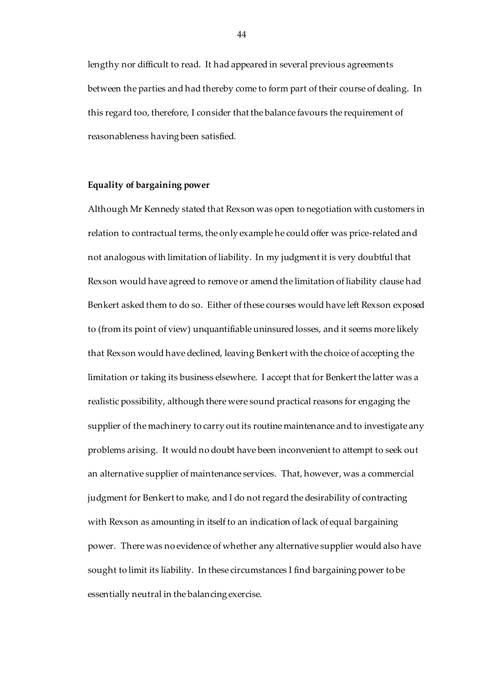lengthy nor difficult to read. It had appeared in several previous agreements between the parties and had thereby come to form part of their course of dealing. In this regard too, therefore, I consider that the balance favours the requirement of reasonableness having been satisfied.

## **Equality of bargaining power**

Although Mr Kennedy stated that Rexson was open to negotiation with customers in relation to contractual terms, the only example he could offer was price-related and not analogous with limitation of liability. In my judgment it is very doubtful that Rexson would have agreed to remove or amend the limitation of liability clause had Benkert asked them to do so. Either of these courses would have left Rexson exposed to (from its point of view) unquantifiable uninsured losses, and it seems more likely that Rexson would have declined, leaving Benkert with the choice of accepting the limitation or taking its business elsewhere. I accept that for Benkert the latter was a realistic possibility, although there were sound practical reasons for engaging the supplier of the machinery to carry out its routine maintenance and to investigate any problems arising. It would no doubt have been inconvenient to attempt to seek out an alternative supplier of maintenance services. That, however, was a commercial judgment for Benkert to make, and I do not regard the desirability of contracting with Rexson as amounting in itself to an indication of lack of equal bargaining power. There was no evidence of whether any alternative supplier would also have sought to limit its liability. In these circumstances I find bargaining power to be essentially neutral in the balancing exercise.